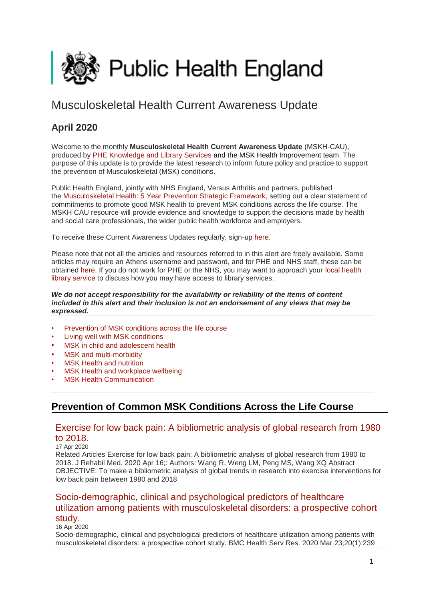<span id="page-0-1"></span>

# Musculoskeletal Health Current Awareness Update

# **April 2020**

Welcome to the monthly **Musculoskeletal Health Current Awareness Update** (MSKH-CAU), produced by [PHE Knowledge and Library Services](http://transit.linexsystems.com/track/click/30370861/phelibrary.koha-ptfs.co.uk?p=eyJzIjoiQ2RGWWVCaVdnN2VqNEhGUU92eldNRUxHVXZvIiwidiI6MSwicCI6IntcInVcIjozMDM3MDg2MSxcInZcIjoxLFwidXJsXCI6XCJodHRwczpcXFwvXFxcL3BoZWxpYnJhcnkua29oYS1wdGZzLmNvLnVrXFxcLz9RTFwiLFwiaWRcIjpcImEyNmRkYzg2OTdmZDQxYmViY2ZhNTNhNmJkNDg0M2U1XCIsXCJ1cmxfaWRzXCI6W1wiMGU4NTg1MDhlNzAyM2VjZjBjODM4YzA5YTYyMGY0OGU5ZjFiMjk5ZFwiXX0ifQ) and the MSK Health Improvement team. The purpose of this update is to provide the latest research to inform future policy and practice to support the prevention of Musculoskeletal (MSK) conditions.

Public Health England, jointly with NHS England, Versus Arthritis and partners, published the [Musculoskeletal Health: 5 Year Prevention Strategic Framework,](https://www.gov.uk/government/publications/musculoskeletal-health-5-year-prevention-strategic-framework) setting out a clear statement of commitments to promote good MSK health to prevent MSK conditions across the life course. The MSKH CAU resource will provide evidence and knowledge to support the decisions made by health and social care professionals, the wider public health workforce and employers.

To receive these Current Awareness Updates regularly, sign-up [here.](http://transit.linexsystems.com/track/click/30370861/public.govdelivery.com?p=eyJzIjoiNjBqQXU0YzJlQXd5Nks5UDhjLWhzME1hN3BNIiwidiI6MSwicCI6IntcInVcIjozMDM3MDg2MSxcInZcIjoxLFwidXJsXCI6XCJodHRwczpcXFwvXFxcL3B1YmxpYy5nb3ZkZWxpdmVyeS5jb21cXFwvYWNjb3VudHNcXFwvVUtIUEFcXFwvc3Vic2NyaWJlcnNcXFwvbmV3XCIsXCJpZFwiOlwiYTNmYjZlY2ViNDBkNGQ1MmJjYTU3YjllNzNiMjU2ZTJcIixcInVybF9pZHNcIjpbXCJjN2IzNWUzNWVhODkyMzhlYmZhOTk0M2MyMThhYTU3OTVkMjIyZjRlXCJdfSJ9)

Please note that not all the articles and resources referred to in this alert are freely available. Some articles may require an Athens username and password, and for PHE and NHS staff, these can be obtained [here.](http://transit.linexsystems.com/track/click/30370861/openathens.nice.org.uk?p=eyJzIjoibndPZXEwbFdCZnYxNUtTX2VCVEhNZ1k5NzFVIiwidiI6MSwicCI6IntcInVcIjozMDM3MDg2MSxcInZcIjoxLFwidXJsXCI6XCJodHRwczpcXFwvXFxcL29wZW5hdGhlbnMubmljZS5vcmcudWtcXFwvXCIsXCJpZFwiOlwiYTI2ZGRjODY5N2ZkNDFiZWJjZmE1M2E2YmQ0ODQzZTVcIixcInVybF9pZHNcIjpbXCJkZDkzMmJmYzNmMTUzNmU2N2MwYTQzOTQwMDE0ZjA4ZjViZjVhNDJlXCJdfSJ9) If you do not work for PHE or the NHS, you may want to approach your [local health](http://transit.linexsystems.com/track/click/30370861/www.hlisd.org?p=eyJzIjoic0hDQXVwcWRwZlJNVXcxM2RFelh2U0R0WkxrIiwidiI6MSwicCI6IntcInVcIjozMDM3MDg2MSxcInZcIjoxLFwidXJsXCI6XCJodHRwczpcXFwvXFxcL3d3dy5obGlzZC5vcmdcXFwvXCIsXCJpZFwiOlwiYTI2ZGRjODY5N2ZkNDFiZWJjZmE1M2E2YmQ0ODQzZTVcIixcInVybF9pZHNcIjpbXCIxYmFkZWVhOWQ0NGY0NWE1YzY4Yzg2N2Y4OTk4YzkwMGU2YjU2MWQ2XCJdfSJ9)  [library service](http://transit.linexsystems.com/track/click/30370861/www.hlisd.org?p=eyJzIjoic0hDQXVwcWRwZlJNVXcxM2RFelh2U0R0WkxrIiwidiI6MSwicCI6IntcInVcIjozMDM3MDg2MSxcInZcIjoxLFwidXJsXCI6XCJodHRwczpcXFwvXFxcL3d3dy5obGlzZC5vcmdcXFwvXCIsXCJpZFwiOlwiYTI2ZGRjODY5N2ZkNDFiZWJjZmE1M2E2YmQ0ODQzZTVcIixcInVybF9pZHNcIjpbXCIxYmFkZWVhOWQ0NGY0NWE1YzY4Yzg2N2Y4OTk4YzkwMGU2YjU2MWQ2XCJdfSJ9) to discuss how you may have access to library services.

#### *We do not accept responsibility for the availability or reliability of the items of content included in this alert and their inclusion is not an endorsement of any views that may be expressed.*

- [Prevention of MSK conditions across the life course](#page-0-0)
- [Living well with MSK conditions](#page-2-0)
- MSK in child and adolescent health
- [MSK and multi-morbidity](#page-6-0)
- **MSK Health and nutrition**
- [MSK Health and workplace wellbeing](#page-7-0)
- **[MSK Health Communication](#page-7-0)**

# <span id="page-0-0"></span>**Prevention of Common MSK Conditions Across the Life Course**

### [Exercise for low back pain: A bibliometric analysis of global research from 1980](http://transit.linexsystems.com/track/click/30370861/ca.linexsystems.com?p=eyJzIjoiVUNla2dPZGMwYTVqT1NWSGJMNmpSSHhmUExBIiwidiI6MSwicCI6IntcInVcIjozMDM3MDg2MSxcInZcIjoxLFwidXJsXCI6XCJodHRwOlxcXC9cXFwvY2EubGluZXhzeXN0ZW1zLmNvbVxcXC9jb250ZW50c1xcXC90cmFuc2l0XFxcLzM2OTQyOTc5MzU_dXNlcl9pZD00NDM1MTUmbG9nPTc5Y2ZhYjYyNGM2ZjAyMDU3MTQ2YzFjZGFkZmYyZWRmJnA9OTQxNDM1MjUmbT0xJmM9MzUyOTEwODUyNSZvcmdfaWQ9MTc0ODFcIixcImlkXCI6XCI5ZDE5NTllOTFlY2Y0ZTYzOTNiYjJkMzE1MGE3ZDFhMVwiLFwidXJsX2lkc1wiOltcIjA1ZTliM2YxZjk4OTA1NGZlM2JjODI0YWQ4ZmExYjhmMWYyMzVkMTNcIl19In0)  [to 2018.](http://transit.linexsystems.com/track/click/30370861/ca.linexsystems.com?p=eyJzIjoiVUNla2dPZGMwYTVqT1NWSGJMNmpSSHhmUExBIiwidiI6MSwicCI6IntcInVcIjozMDM3MDg2MSxcInZcIjoxLFwidXJsXCI6XCJodHRwOlxcXC9cXFwvY2EubGluZXhzeXN0ZW1zLmNvbVxcXC9jb250ZW50c1xcXC90cmFuc2l0XFxcLzM2OTQyOTc5MzU_dXNlcl9pZD00NDM1MTUmbG9nPTc5Y2ZhYjYyNGM2ZjAyMDU3MTQ2YzFjZGFkZmYyZWRmJnA9OTQxNDM1MjUmbT0xJmM9MzUyOTEwODUyNSZvcmdfaWQ9MTc0ODFcIixcImlkXCI6XCI5ZDE5NTllOTFlY2Y0ZTYzOTNiYjJkMzE1MGE3ZDFhMVwiLFwidXJsX2lkc1wiOltcIjA1ZTliM2YxZjk4OTA1NGZlM2JjODI0YWQ4ZmExYjhmMWYyMzVkMTNcIl19In0)

#### 17 Apr 2020

Related Articles Exercise for low back pain: A bibliometric analysis of global research from 1980 to 2018. J Rehabil Med. 2020 Apr 16;: Authors: Wang R, Weng LM, Peng MS, Wang XQ Abstract OBJECTIVE: To make a bibliometric analysis of global trends in research into exercise interventions for low back pain between 1980 and 2018

### [Socio-demographic, clinical and psychological predictors of healthcare](http://transit.linexsystems.com/track/click/30370861/ca.linexsystems.com?p=eyJzIjoiLXhBYS1SWXowYkJyd0w0X3FLSGNHMnlRdUNFIiwidiI6MSwicCI6IntcInVcIjozMDM3MDg2MSxcInZcIjoxLFwidXJsXCI6XCJodHRwOlxcXC9cXFwvY2EubGluZXhzeXN0ZW1zLmNvbVxcXC9jb250ZW50c1xcXC90cmFuc2l0XFxcLzM2OTI5NjgzNDU_dXNlcl9pZD00NDM1MTUmbG9nPTc5Y2ZhYjYyNGM2ZjAyMDU3MTQ2YzFjZGFkZmYyZWRmJnA9OTQxNDM1MjUmbT0xJmM9MzUyOTEwODUyNSZvcmdfaWQ9MTc0ODFcIixcImlkXCI6XCI5ZDE5NTllOTFlY2Y0ZTYzOTNiYjJkMzE1MGE3ZDFhMVwiLFwidXJsX2lkc1wiOltcIjA1ZTliM2YxZjk4OTA1NGZlM2JjODI0YWQ4ZmExYjhmMWYyMzVkMTNcIl19In0)  [utilization among patients with musculoskeletal disorders: a prospective cohort](http://transit.linexsystems.com/track/click/30370861/ca.linexsystems.com?p=eyJzIjoiLXhBYS1SWXowYkJyd0w0X3FLSGNHMnlRdUNFIiwidiI6MSwicCI6IntcInVcIjozMDM3MDg2MSxcInZcIjoxLFwidXJsXCI6XCJodHRwOlxcXC9cXFwvY2EubGluZXhzeXN0ZW1zLmNvbVxcXC9jb250ZW50c1xcXC90cmFuc2l0XFxcLzM2OTI5NjgzNDU_dXNlcl9pZD00NDM1MTUmbG9nPTc5Y2ZhYjYyNGM2ZjAyMDU3MTQ2YzFjZGFkZmYyZWRmJnA9OTQxNDM1MjUmbT0xJmM9MzUyOTEwODUyNSZvcmdfaWQ9MTc0ODFcIixcImlkXCI6XCI5ZDE5NTllOTFlY2Y0ZTYzOTNiYjJkMzE1MGE3ZDFhMVwiLFwidXJsX2lkc1wiOltcIjA1ZTliM2YxZjk4OTA1NGZlM2JjODI0YWQ4ZmExYjhmMWYyMzVkMTNcIl19In0)  [study.](http://transit.linexsystems.com/track/click/30370861/ca.linexsystems.com?p=eyJzIjoiLXhBYS1SWXowYkJyd0w0X3FLSGNHMnlRdUNFIiwidiI6MSwicCI6IntcInVcIjozMDM3MDg2MSxcInZcIjoxLFwidXJsXCI6XCJodHRwOlxcXC9cXFwvY2EubGluZXhzeXN0ZW1zLmNvbVxcXC9jb250ZW50c1xcXC90cmFuc2l0XFxcLzM2OTI5NjgzNDU_dXNlcl9pZD00NDM1MTUmbG9nPTc5Y2ZhYjYyNGM2ZjAyMDU3MTQ2YzFjZGFkZmYyZWRmJnA9OTQxNDM1MjUmbT0xJmM9MzUyOTEwODUyNSZvcmdfaWQ9MTc0ODFcIixcImlkXCI6XCI5ZDE5NTllOTFlY2Y0ZTYzOTNiYjJkMzE1MGE3ZDFhMVwiLFwidXJsX2lkc1wiOltcIjA1ZTliM2YxZjk4OTA1NGZlM2JjODI0YWQ4ZmExYjhmMWYyMzVkMTNcIl19In0)

16 Apr 2020

Socio-demographic, clinical and psychological predictors of healthcare utilization among patients with musculoskeletal disorders: a prospective cohort study. BMC Health Serv Res. 2020 Mar 23;20(1):239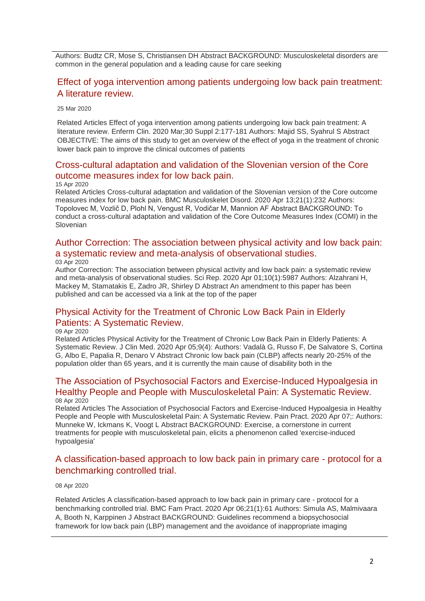Authors: Budtz CR, Mose S, Christiansen DH Abstract BACKGROUND: Musculoskeletal disorders are common in the general population and a leading cause for care seeking

## [Effect of yoga intervention among patients undergoing low back pain treatment:](http://transit.linexsystems.com/track/click/30370861/ca.linexsystems.com?p=eyJzIjoiYzA0NTEwcEkwVWxlRWQ1NmtYRFBhVDBHWGVzIiwidiI6MSwicCI6IntcInVcIjozMDM3MDg2MSxcInZcIjoxLFwidXJsXCI6XCJodHRwOlxcXC9cXFwvY2EubGluZXhzeXN0ZW1zLmNvbVxcXC9jb250ZW50c1xcXC90cmFuc2l0XFxcLzM2NzAwMTIyNjU_dXNlcl9pZD00NDM1MTUmbG9nPTc5Y2ZhYjYyNGM2ZjAyMDU3MTQ2YzFjZGFkZmYyZWRmJnA9OTQxNDM1MjUmbT0xJmM9MzUyOTEwODUyNSZvcmdfaWQ9MTc0ODFcIixcImlkXCI6XCI5ZDE5NTllOTFlY2Y0ZTYzOTNiYjJkMzE1MGE3ZDFhMVwiLFwidXJsX2lkc1wiOltcIjA1ZTliM2YxZjk4OTA1NGZlM2JjODI0YWQ4ZmExYjhmMWYyMzVkMTNcIl19In0)  [A literature review.](http://transit.linexsystems.com/track/click/30370861/ca.linexsystems.com?p=eyJzIjoiYzA0NTEwcEkwVWxlRWQ1NmtYRFBhVDBHWGVzIiwidiI6MSwicCI6IntcInVcIjozMDM3MDg2MSxcInZcIjoxLFwidXJsXCI6XCJodHRwOlxcXC9cXFwvY2EubGluZXhzeXN0ZW1zLmNvbVxcXC9jb250ZW50c1xcXC90cmFuc2l0XFxcLzM2NzAwMTIyNjU_dXNlcl9pZD00NDM1MTUmbG9nPTc5Y2ZhYjYyNGM2ZjAyMDU3MTQ2YzFjZGFkZmYyZWRmJnA9OTQxNDM1MjUmbT0xJmM9MzUyOTEwODUyNSZvcmdfaWQ9MTc0ODFcIixcImlkXCI6XCI5ZDE5NTllOTFlY2Y0ZTYzOTNiYjJkMzE1MGE3ZDFhMVwiLFwidXJsX2lkc1wiOltcIjA1ZTliM2YxZjk4OTA1NGZlM2JjODI0YWQ4ZmExYjhmMWYyMzVkMTNcIl19In0)

25 Mar 2020

Related Articles Effect of yoga intervention among patients undergoing low back pain treatment: A literature review. Enferm Clin. 2020 Mar;30 Suppl 2:177-181 Authors: Majid SS, Syahrul S Abstract OBJECTIVE: The aims of this study to get an overview of the effect of yoga in the treatment of chronic lower back pain to improve the clinical outcomes of patients

### [Cross-cultural adaptation and validation of the Slovenian version of the Core](http://transit.linexsystems.com/track/click/30370861/ca.linexsystems.com?p=eyJzIjoidWowOTNQQ1VGaG1sSFkyMDg3cndzV0U5V01rIiwidiI6MSwicCI6IntcInVcIjozMDM3MDg2MSxcInZcIjoxLFwidXJsXCI6XCJodHRwOlxcXC9cXFwvY2EubGluZXhzeXN0ZW1zLmNvbVxcXC9jb250ZW50c1xcXC90cmFuc2l0XFxcLzM2OTE2NzEwMjU_dXNlcl9pZD00NDM1MTUmbG9nPTc5Y2ZhYjYyNGM2ZjAyMDU3MTQ2YzFjZGFkZmYyZWRmJnA9OTQxNDM1MjUmbT0xJmM9MzUyOTEwODUyNSZvcmdfaWQ9MTc0ODFcIixcImlkXCI6XCI5ZDE5NTllOTFlY2Y0ZTYzOTNiYjJkMzE1MGE3ZDFhMVwiLFwidXJsX2lkc1wiOltcIjA1ZTliM2YxZjk4OTA1NGZlM2JjODI0YWQ4ZmExYjhmMWYyMzVkMTNcIl19In0)  [outcome measures index for low back pain.](http://transit.linexsystems.com/track/click/30370861/ca.linexsystems.com?p=eyJzIjoidWowOTNQQ1VGaG1sSFkyMDg3cndzV0U5V01rIiwidiI6MSwicCI6IntcInVcIjozMDM3MDg2MSxcInZcIjoxLFwidXJsXCI6XCJodHRwOlxcXC9cXFwvY2EubGluZXhzeXN0ZW1zLmNvbVxcXC9jb250ZW50c1xcXC90cmFuc2l0XFxcLzM2OTE2NzEwMjU_dXNlcl9pZD00NDM1MTUmbG9nPTc5Y2ZhYjYyNGM2ZjAyMDU3MTQ2YzFjZGFkZmYyZWRmJnA9OTQxNDM1MjUmbT0xJmM9MzUyOTEwODUyNSZvcmdfaWQ9MTc0ODFcIixcImlkXCI6XCI5ZDE5NTllOTFlY2Y0ZTYzOTNiYjJkMzE1MGE3ZDFhMVwiLFwidXJsX2lkc1wiOltcIjA1ZTliM2YxZjk4OTA1NGZlM2JjODI0YWQ4ZmExYjhmMWYyMzVkMTNcIl19In0)

#### 15 Apr 2020

Related Articles Cross-cultural adaptation and validation of the Slovenian version of the Core outcome measures index for low back pain. BMC Musculoskelet Disord. 2020 Apr 13;21(1):232 Authors: Topolovec M, Vozlič D, Plohl N, Vengust R, Vodičar M, Mannion AF Abstract BACKGROUND: To conduct a cross-cultural adaptation and validation of the Core Outcome Measures Index (COMI) in the Slovenian

#### [Author Correction: The association between physical activity and low back pain:](http://transit.linexsystems.com/track/click/30370861/ca.linexsystems.com?p=eyJzIjoieDVzLWtVSFRlQmRuX1B6QWxJYktQNzQ0LThzIiwidiI6MSwicCI6IntcInVcIjozMDM3MDg2MSxcInZcIjoxLFwidXJsXCI6XCJodHRwOlxcXC9cXFwvY2EubGluZXhzeXN0ZW1zLmNvbVxcXC9jb250ZW50c1xcXC90cmFuc2l0XFxcLzM2ODAyMDA2NDU_dXNlcl9pZD00NDM1MTUmbG9nPTc5Y2ZhYjYyNGM2ZjAyMDU3MTQ2YzFjZGFkZmYyZWRmJnA9OTQxNDM1MjUmbT0xJmM9MzUyOTEwODUyNSZvcmdfaWQ9MTc0ODFcIixcImlkXCI6XCI5ZDE5NTllOTFlY2Y0ZTYzOTNiYjJkMzE1MGE3ZDFhMVwiLFwidXJsX2lkc1wiOltcIjA1ZTliM2YxZjk4OTA1NGZlM2JjODI0YWQ4ZmExYjhmMWYyMzVkMTNcIl19In0)  [a systematic review and meta-analysis of observational studies.](http://transit.linexsystems.com/track/click/30370861/ca.linexsystems.com?p=eyJzIjoieDVzLWtVSFRlQmRuX1B6QWxJYktQNzQ0LThzIiwidiI6MSwicCI6IntcInVcIjozMDM3MDg2MSxcInZcIjoxLFwidXJsXCI6XCJodHRwOlxcXC9cXFwvY2EubGluZXhzeXN0ZW1zLmNvbVxcXC9jb250ZW50c1xcXC90cmFuc2l0XFxcLzM2ODAyMDA2NDU_dXNlcl9pZD00NDM1MTUmbG9nPTc5Y2ZhYjYyNGM2ZjAyMDU3MTQ2YzFjZGFkZmYyZWRmJnA9OTQxNDM1MjUmbT0xJmM9MzUyOTEwODUyNSZvcmdfaWQ9MTc0ODFcIixcImlkXCI6XCI5ZDE5NTllOTFlY2Y0ZTYzOTNiYjJkMzE1MGE3ZDFhMVwiLFwidXJsX2lkc1wiOltcIjA1ZTliM2YxZjk4OTA1NGZlM2JjODI0YWQ4ZmExYjhmMWYyMzVkMTNcIl19In0) 03 Apr 2020

Author Correction: The association between physical activity and low back pain: a systematic review and meta-analysis of observational studies. Sci Rep. 2020 Apr 01;10(1):5987 Authors: Alzahrani H, Mackey M, Stamatakis E, Zadro JR, Shirley D Abstract An amendment to this paper has been published and can be accessed via a link at the top of the paper

### [Physical Activity for the Treatment of Chronic Low](http://transit.linexsystems.com/track/click/30370861/ca.linexsystems.com?p=eyJzIjoieURxdE40a2FPNmUxOWY3QXJ0dmdEUXZQdTJRIiwidiI6MSwicCI6IntcInVcIjozMDM3MDg2MSxcInZcIjoxLFwidXJsXCI6XCJodHRwOlxcXC9cXFwvY2EubGluZXhzeXN0ZW1zLmNvbVxcXC9jb250ZW50c1xcXC90cmFuc2l0XFxcLzM2ODYzNTM4NzU_dXNlcl9pZD00NDM1MTUmbG9nPTc5Y2ZhYjYyNGM2ZjAyMDU3MTQ2YzFjZGFkZmYyZWRmJnA9OTQxNDM1MjUmbT0xJmM9MzUyOTEwODUyNSZvcmdfaWQ9MTc0ODFcIixcImlkXCI6XCI5ZDE5NTllOTFlY2Y0ZTYzOTNiYjJkMzE1MGE3ZDFhMVwiLFwidXJsX2lkc1wiOltcIjA1ZTliM2YxZjk4OTA1NGZlM2JjODI0YWQ4ZmExYjhmMWYyMzVkMTNcIl19In0) Back Pain in Elderly [Patients: A Systematic Review.](http://transit.linexsystems.com/track/click/30370861/ca.linexsystems.com?p=eyJzIjoieURxdE40a2FPNmUxOWY3QXJ0dmdEUXZQdTJRIiwidiI6MSwicCI6IntcInVcIjozMDM3MDg2MSxcInZcIjoxLFwidXJsXCI6XCJodHRwOlxcXC9cXFwvY2EubGluZXhzeXN0ZW1zLmNvbVxcXC9jb250ZW50c1xcXC90cmFuc2l0XFxcLzM2ODYzNTM4NzU_dXNlcl9pZD00NDM1MTUmbG9nPTc5Y2ZhYjYyNGM2ZjAyMDU3MTQ2YzFjZGFkZmYyZWRmJnA9OTQxNDM1MjUmbT0xJmM9MzUyOTEwODUyNSZvcmdfaWQ9MTc0ODFcIixcImlkXCI6XCI5ZDE5NTllOTFlY2Y0ZTYzOTNiYjJkMzE1MGE3ZDFhMVwiLFwidXJsX2lkc1wiOltcIjA1ZTliM2YxZjk4OTA1NGZlM2JjODI0YWQ4ZmExYjhmMWYyMzVkMTNcIl19In0)

09 Apr 2020

Related Articles Physical Activity for the Treatment of Chronic Low Back Pain in Elderly Patients: A Systematic Review. J Clin Med. 2020 Apr 05;9(4): Authors: Vadalà G, Russo F, De Salvatore S, Cortina G, Albo E, Papalia R, Denaro V Abstract Chronic low back pain (CLBP) affects nearly 20-25% of the population older than 65 years, and it is currently the main cause of disability both in the

#### [The Association of Psychosocial Factors and Exercise-Induced Hypoalgesia in](http://transit.linexsystems.com/track/click/30370861/ca.linexsystems.com?p=eyJzIjoiWldMTTQ3aVk4VHNjYkpTeEF2XzF5QmtnSUprIiwidiI6MSwicCI6IntcInVcIjozMDM3MDg2MSxcInZcIjoxLFwidXJsXCI6XCJodHRwOlxcXC9cXFwvY2EubGluZXhzeXN0ZW1zLmNvbVxcXC9jb250ZW50c1xcXC90cmFuc2l0XFxcLzM2ODUxMDE5MTU_dXNlcl9pZD00NDM1MTUmbG9nPTc5Y2ZhYjYyNGM2ZjAyMDU3MTQ2YzFjZGFkZmYyZWRmJnA9OTQxNDM1MjUmbT0xJmM9MzUyOTEwODUyNSZvcmdfaWQ9MTc0ODFcIixcImlkXCI6XCI5ZDE5NTllOTFlY2Y0ZTYzOTNiYjJkMzE1MGE3ZDFhMVwiLFwidXJsX2lkc1wiOltcIjA1ZTliM2YxZjk4OTA1NGZlM2JjODI0YWQ4ZmExYjhmMWYyMzVkMTNcIl19In0)  [Healthy People and People with Musculoskeletal Pain: A Systematic Review.](http://transit.linexsystems.com/track/click/30370861/ca.linexsystems.com?p=eyJzIjoiWldMTTQ3aVk4VHNjYkpTeEF2XzF5QmtnSUprIiwidiI6MSwicCI6IntcInVcIjozMDM3MDg2MSxcInZcIjoxLFwidXJsXCI6XCJodHRwOlxcXC9cXFwvY2EubGluZXhzeXN0ZW1zLmNvbVxcXC9jb250ZW50c1xcXC90cmFuc2l0XFxcLzM2ODUxMDE5MTU_dXNlcl9pZD00NDM1MTUmbG9nPTc5Y2ZhYjYyNGM2ZjAyMDU3MTQ2YzFjZGFkZmYyZWRmJnA9OTQxNDM1MjUmbT0xJmM9MzUyOTEwODUyNSZvcmdfaWQ9MTc0ODFcIixcImlkXCI6XCI5ZDE5NTllOTFlY2Y0ZTYzOTNiYjJkMzE1MGE3ZDFhMVwiLFwidXJsX2lkc1wiOltcIjA1ZTliM2YxZjk4OTA1NGZlM2JjODI0YWQ4ZmExYjhmMWYyMzVkMTNcIl19In0) 08 Apr 2020

Related Articles The Association of Psychosocial Factors and Exercise-Induced Hypoalgesia in Healthy People and People with Musculoskeletal Pain: A Systematic Review. Pain Pract. 2020 Apr 07;: Authors: Munneke W, Ickmans K, Voogt L Abstract BACKGROUND: Exercise, a cornerstone in current treatments for people with musculoskeletal pain, elicits a phenomenon called 'exercise-induced hypoalgesia'

### [A classification-based approach to low back pain in primary care -](http://transit.linexsystems.com/track/click/30370861/ca.linexsystems.com?p=eyJzIjoiVjF1Yzh3YUxkeGJiSWE1WGZvZTRWeEtVUEpjIiwidiI6MSwicCI6IntcInVcIjozMDM3MDg2MSxcInZcIjoxLFwidXJsXCI6XCJodHRwOlxcXC9cXFwvY2EubGluZXhzeXN0ZW1zLmNvbVxcXC9jb250ZW50c1xcXC90cmFuc2l0XFxcLzM2ODUxMDA0MjU_dXNlcl9pZD00NDM1MTUmbG9nPTc5Y2ZhYjYyNGM2ZjAyMDU3MTQ2YzFjZGFkZmYyZWRmJnA9OTQxNDM1MjUmbT0xJmM9MzUyOTEwODUyNSZvcmdfaWQ9MTc0ODFcIixcImlkXCI6XCI5ZDE5NTllOTFlY2Y0ZTYzOTNiYjJkMzE1MGE3ZDFhMVwiLFwidXJsX2lkc1wiOltcIjA1ZTliM2YxZjk4OTA1NGZlM2JjODI0YWQ4ZmExYjhmMWYyMzVkMTNcIl19In0) protocol for a [benchmarking controlled trial.](http://transit.linexsystems.com/track/click/30370861/ca.linexsystems.com?p=eyJzIjoiVjF1Yzh3YUxkeGJiSWE1WGZvZTRWeEtVUEpjIiwidiI6MSwicCI6IntcInVcIjozMDM3MDg2MSxcInZcIjoxLFwidXJsXCI6XCJodHRwOlxcXC9cXFwvY2EubGluZXhzeXN0ZW1zLmNvbVxcXC9jb250ZW50c1xcXC90cmFuc2l0XFxcLzM2ODUxMDA0MjU_dXNlcl9pZD00NDM1MTUmbG9nPTc5Y2ZhYjYyNGM2ZjAyMDU3MTQ2YzFjZGFkZmYyZWRmJnA9OTQxNDM1MjUmbT0xJmM9MzUyOTEwODUyNSZvcmdfaWQ9MTc0ODFcIixcImlkXCI6XCI5ZDE5NTllOTFlY2Y0ZTYzOTNiYjJkMzE1MGE3ZDFhMVwiLFwidXJsX2lkc1wiOltcIjA1ZTliM2YxZjk4OTA1NGZlM2JjODI0YWQ4ZmExYjhmMWYyMzVkMTNcIl19In0)

#### 08 Apr 2020

Related Articles A classification-based approach to low back pain in primary care - protocol for a benchmarking controlled trial. BMC Fam Pract. 2020 Apr 06;21(1):61 Authors: Simula AS, Malmivaara A, Booth N, Karppinen J Abstract BACKGROUND: Guidelines recommend a biopsychosocial framework for low back pain (LBP) management and the avoidance of inappropriate imaging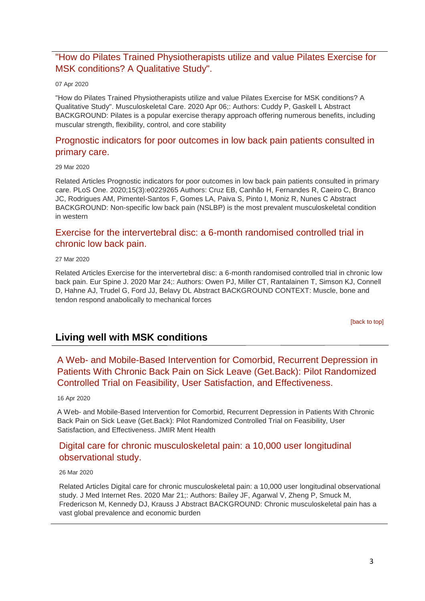### ["How do Pilates Trained Physiotherapists utilize and value Pilates Exercise for](http://transit.linexsystems.com/track/click/30370861/ca.linexsystems.com?p=eyJzIjoiaEhCTWppa090X2NtaXRkS3NTOGZORVU0S0kwIiwidiI6MSwicCI6IntcInVcIjozMDM3MDg2MSxcInZcIjoxLFwidXJsXCI6XCJodHRwOlxcXC9cXFwvY2EubGluZXhzeXN0ZW1zLmNvbVxcXC9jb250ZW50c1xcXC90cmFuc2l0XFxcLzM2ODM2NzgzMzU_dXNlcl9pZD00NDM1MTUmbG9nPTc5Y2ZhYjYyNGM2ZjAyMDU3MTQ2YzFjZGFkZmYyZWRmJnA9OTQxNDM1MjUmbT0xJmM9MzUyOTEwODUyNSZvcmdfaWQ9MTc0ODFcIixcImlkXCI6XCI5ZDE5NTllOTFlY2Y0ZTYzOTNiYjJkMzE1MGE3ZDFhMVwiLFwidXJsX2lkc1wiOltcIjA1ZTliM2YxZjk4OTA1NGZlM2JjODI0YWQ4ZmExYjhmMWYyMzVkMTNcIl19In0)  [MSK conditions? A Qualitative Study".](http://transit.linexsystems.com/track/click/30370861/ca.linexsystems.com?p=eyJzIjoiaEhCTWppa090X2NtaXRkS3NTOGZORVU0S0kwIiwidiI6MSwicCI6IntcInVcIjozMDM3MDg2MSxcInZcIjoxLFwidXJsXCI6XCJodHRwOlxcXC9cXFwvY2EubGluZXhzeXN0ZW1zLmNvbVxcXC9jb250ZW50c1xcXC90cmFuc2l0XFxcLzM2ODM2NzgzMzU_dXNlcl9pZD00NDM1MTUmbG9nPTc5Y2ZhYjYyNGM2ZjAyMDU3MTQ2YzFjZGFkZmYyZWRmJnA9OTQxNDM1MjUmbT0xJmM9MzUyOTEwODUyNSZvcmdfaWQ9MTc0ODFcIixcImlkXCI6XCI5ZDE5NTllOTFlY2Y0ZTYzOTNiYjJkMzE1MGE3ZDFhMVwiLFwidXJsX2lkc1wiOltcIjA1ZTliM2YxZjk4OTA1NGZlM2JjODI0YWQ4ZmExYjhmMWYyMzVkMTNcIl19In0)

#### 07 Apr 2020

"How do Pilates Trained Physiotherapists utilize and value Pilates Exercise for MSK conditions? A Qualitative Study". Musculoskeletal Care. 2020 Apr 06;: Authors: Cuddy P, Gaskell L Abstract BACKGROUND: Pilates is a popular exercise therapy approach offering numerous benefits, including muscular strength, flexibility, control, and core stability

### [Prognostic indicators for poor outcomes in low back pain patients consulted in](http://transit.linexsystems.com/track/click/30370861/ca.linexsystems.com?p=eyJzIjoiSThndTdPX044SXowSkl2ekg1UkJDMTNjSVNvIiwidiI6MSwicCI6IntcInVcIjozMDM3MDg2MSxcInZcIjoxLFwidXJsXCI6XCJodHRwOlxcXC9cXFwvY2EubGluZXhzeXN0ZW1zLmNvbVxcXC9jb250ZW50c1xcXC90cmFuc2l0XFxcLzM2NzQxMzcyNjU_dXNlcl9pZD00NDM1MTUmbG9nPTc5Y2ZhYjYyNGM2ZjAyMDU3MTQ2YzFjZGFkZmYyZWRmJnA9OTQxNDM1MjUmbT0xJmM9MzUyOTEwODUyNSZvcmdfaWQ9MTc0ODFcIixcImlkXCI6XCI5ZDE5NTllOTFlY2Y0ZTYzOTNiYjJkMzE1MGE3ZDFhMVwiLFwidXJsX2lkc1wiOltcIjA1ZTliM2YxZjk4OTA1NGZlM2JjODI0YWQ4ZmExYjhmMWYyMzVkMTNcIl19In0)  [primary care.](http://transit.linexsystems.com/track/click/30370861/ca.linexsystems.com?p=eyJzIjoiSThndTdPX044SXowSkl2ekg1UkJDMTNjSVNvIiwidiI6MSwicCI6IntcInVcIjozMDM3MDg2MSxcInZcIjoxLFwidXJsXCI6XCJodHRwOlxcXC9cXFwvY2EubGluZXhzeXN0ZW1zLmNvbVxcXC9jb250ZW50c1xcXC90cmFuc2l0XFxcLzM2NzQxMzcyNjU_dXNlcl9pZD00NDM1MTUmbG9nPTc5Y2ZhYjYyNGM2ZjAyMDU3MTQ2YzFjZGFkZmYyZWRmJnA9OTQxNDM1MjUmbT0xJmM9MzUyOTEwODUyNSZvcmdfaWQ9MTc0ODFcIixcImlkXCI6XCI5ZDE5NTllOTFlY2Y0ZTYzOTNiYjJkMzE1MGE3ZDFhMVwiLFwidXJsX2lkc1wiOltcIjA1ZTliM2YxZjk4OTA1NGZlM2JjODI0YWQ4ZmExYjhmMWYyMzVkMTNcIl19In0)

#### 29 Mar 2020

Related Articles Prognostic indicators for poor outcomes in low back pain patients consulted in primary care. PLoS One. 2020;15(3):e0229265 Authors: Cruz EB, Canhão H, Fernandes R, Caeiro C, Branco JC, Rodrigues AM, Pimentel-Santos F, Gomes LA, Paiva S, Pinto I, Moniz R, Nunes C Abstract BACKGROUND: Non-specific low back pain (NSLBP) is the most prevalent musculoskeletal condition in western

# [Exercise for the intervertebral disc: a 6-month randomised controlled trial in](http://transit.linexsystems.com/track/click/30370861/ca.linexsystems.com?p=eyJzIjoiUnFQUTFfRU1ZVkdPWkY5dXg3QlFTdWlGeEZzIiwidiI6MSwicCI6IntcInVcIjozMDM3MDg2MSxcInZcIjoxLFwidXJsXCI6XCJodHRwOlxcXC9cXFwvY2EubGluZXhzeXN0ZW1zLmNvbVxcXC9jb250ZW50c1xcXC90cmFuc2l0XFxcLzM2NzMyMTM3ODU_dXNlcl9pZD00NDM1MTUmbG9nPTc5Y2ZhYjYyNGM2ZjAyMDU3MTQ2YzFjZGFkZmYyZWRmJnA9OTQxNDM1MjUmbT0xJmM9MzUyOTEwODUyNSZvcmdfaWQ9MTc0ODFcIixcImlkXCI6XCI5ZDE5NTllOTFlY2Y0ZTYzOTNiYjJkMzE1MGE3ZDFhMVwiLFwidXJsX2lkc1wiOltcIjA1ZTliM2YxZjk4OTA1NGZlM2JjODI0YWQ4ZmExYjhmMWYyMzVkMTNcIl19In0)  [chronic low back pain.](http://transit.linexsystems.com/track/click/30370861/ca.linexsystems.com?p=eyJzIjoiUnFQUTFfRU1ZVkdPWkY5dXg3QlFTdWlGeEZzIiwidiI6MSwicCI6IntcInVcIjozMDM3MDg2MSxcInZcIjoxLFwidXJsXCI6XCJodHRwOlxcXC9cXFwvY2EubGluZXhzeXN0ZW1zLmNvbVxcXC9jb250ZW50c1xcXC90cmFuc2l0XFxcLzM2NzMyMTM3ODU_dXNlcl9pZD00NDM1MTUmbG9nPTc5Y2ZhYjYyNGM2ZjAyMDU3MTQ2YzFjZGFkZmYyZWRmJnA9OTQxNDM1MjUmbT0xJmM9MzUyOTEwODUyNSZvcmdfaWQ9MTc0ODFcIixcImlkXCI6XCI5ZDE5NTllOTFlY2Y0ZTYzOTNiYjJkMzE1MGE3ZDFhMVwiLFwidXJsX2lkc1wiOltcIjA1ZTliM2YxZjk4OTA1NGZlM2JjODI0YWQ4ZmExYjhmMWYyMzVkMTNcIl19In0)

#### 27 Mar 2020

Related Articles Exercise for the intervertebral disc: a 6-month randomised controlled trial in chronic low back pain. Eur Spine J. 2020 Mar 24;: Authors: Owen PJ, Miller CT, Rantalainen T, Simson KJ, Connell D, Hahne AJ, Trudel G, Ford JJ, Belavy DL Abstract BACKGROUND CONTEXT: Muscle, bone and tendon respond anabolically to mechanical forces

[\[back to top\]](#page-0-1)

# <span id="page-2-0"></span>**Living well with MSK conditions**

## A Web- [and Mobile-Based Intervention for Comorbid, Recurrent Depression in](http://transit.linexsystems.com/track/click/30370861/ca.linexsystems.com?p=eyJzIjoiNlhWUmttQXBUaXprLVhncTNOXzBQbWNYYkdFIiwidiI6MSwicCI6IntcInVcIjozMDM3MDg2MSxcInZcIjoxLFwidXJsXCI6XCJodHRwOlxcXC9cXFwvY2EubGluZXhzeXN0ZW1zLmNvbVxcXC9jb250ZW50c1xcXC90cmFuc2l0XFxcLzM2OTMwNTE1OTU_dXNlcl9pZD00NDM1MTUmbG9nPTc5Y2ZhYjYyNGM2ZjAyMDU3MTQ2YzFjZGFkZmYyZWRmJnA9OTQxNDM1MjUmbT0xJmM9MzUyOTEwODkxNSZvcmdfaWQ9MTc0ODFcIixcImlkXCI6XCI5ZDE5NTllOTFlY2Y0ZTYzOTNiYjJkMzE1MGE3ZDFhMVwiLFwidXJsX2lkc1wiOltcIjA1ZTliM2YxZjk4OTA1NGZlM2JjODI0YWQ4ZmExYjhmMWYyMzVkMTNcIl19In0)  [Patients With Chronic Back Pain on Sick Leave \(Get.Back\): Pilot Randomized](http://transit.linexsystems.com/track/click/30370861/ca.linexsystems.com?p=eyJzIjoiNlhWUmttQXBUaXprLVhncTNOXzBQbWNYYkdFIiwidiI6MSwicCI6IntcInVcIjozMDM3MDg2MSxcInZcIjoxLFwidXJsXCI6XCJodHRwOlxcXC9cXFwvY2EubGluZXhzeXN0ZW1zLmNvbVxcXC9jb250ZW50c1xcXC90cmFuc2l0XFxcLzM2OTMwNTE1OTU_dXNlcl9pZD00NDM1MTUmbG9nPTc5Y2ZhYjYyNGM2ZjAyMDU3MTQ2YzFjZGFkZmYyZWRmJnA9OTQxNDM1MjUmbT0xJmM9MzUyOTEwODkxNSZvcmdfaWQ9MTc0ODFcIixcImlkXCI6XCI5ZDE5NTllOTFlY2Y0ZTYzOTNiYjJkMzE1MGE3ZDFhMVwiLFwidXJsX2lkc1wiOltcIjA1ZTliM2YxZjk4OTA1NGZlM2JjODI0YWQ4ZmExYjhmMWYyMzVkMTNcIl19In0)  [Controlled Trial on Feasibility, User Satisfaction, and Effectiveness.](http://transit.linexsystems.com/track/click/30370861/ca.linexsystems.com?p=eyJzIjoiNlhWUmttQXBUaXprLVhncTNOXzBQbWNYYkdFIiwidiI6MSwicCI6IntcInVcIjozMDM3MDg2MSxcInZcIjoxLFwidXJsXCI6XCJodHRwOlxcXC9cXFwvY2EubGluZXhzeXN0ZW1zLmNvbVxcXC9jb250ZW50c1xcXC90cmFuc2l0XFxcLzM2OTMwNTE1OTU_dXNlcl9pZD00NDM1MTUmbG9nPTc5Y2ZhYjYyNGM2ZjAyMDU3MTQ2YzFjZGFkZmYyZWRmJnA9OTQxNDM1MjUmbT0xJmM9MzUyOTEwODkxNSZvcmdfaWQ9MTc0ODFcIixcImlkXCI6XCI5ZDE5NTllOTFlY2Y0ZTYzOTNiYjJkMzE1MGE3ZDFhMVwiLFwidXJsX2lkc1wiOltcIjA1ZTliM2YxZjk4OTA1NGZlM2JjODI0YWQ4ZmExYjhmMWYyMzVkMTNcIl19In0)

#### 16 Apr 2020

A Web- and Mobile-Based Intervention for Comorbid, Recurrent Depression in Patients With Chronic Back Pain on Sick Leave (Get.Back): Pilot Randomized Controlled Trial on Feasibility, User Satisfaction, and Effectiveness. JMIR Ment Health

### [Digital care for chronic musculoskeletal pain: a 10,000 user longitudinal](http://transit.linexsystems.com/track/click/30370861/ca.linexsystems.com?p=eyJzIjoidE9hSHl5SEc3MFdLeE5kVENEYkM1bGFtOTlVIiwidiI6MSwicCI6IntcInVcIjozMDM3MDg2MSxcInZcIjoxLFwidXJsXCI6XCJodHRwOlxcXC9cXFwvY2EubGluZXhzeXN0ZW1zLmNvbVxcXC9jb250ZW50c1xcXC90cmFuc2l0XFxcLzM2NzEyNDkyNDU_dXNlcl9pZD00NDM1MTUmbG9nPTc5Y2ZhYjYyNGM2ZjAyMDU3MTQ2YzFjZGFkZmYyZWRmJnA9OTQxNDM1MjUmbT0xJmM9MzUyOTEwODkxNSZvcmdfaWQ9MTc0ODFcIixcImlkXCI6XCI5ZDE5NTllOTFlY2Y0ZTYzOTNiYjJkMzE1MGE3ZDFhMVwiLFwidXJsX2lkc1wiOltcIjA1ZTliM2YxZjk4OTA1NGZlM2JjODI0YWQ4ZmExYjhmMWYyMzVkMTNcIl19In0)  [observational study.](http://transit.linexsystems.com/track/click/30370861/ca.linexsystems.com?p=eyJzIjoidE9hSHl5SEc3MFdLeE5kVENEYkM1bGFtOTlVIiwidiI6MSwicCI6IntcInVcIjozMDM3MDg2MSxcInZcIjoxLFwidXJsXCI6XCJodHRwOlxcXC9cXFwvY2EubGluZXhzeXN0ZW1zLmNvbVxcXC9jb250ZW50c1xcXC90cmFuc2l0XFxcLzM2NzEyNDkyNDU_dXNlcl9pZD00NDM1MTUmbG9nPTc5Y2ZhYjYyNGM2ZjAyMDU3MTQ2YzFjZGFkZmYyZWRmJnA9OTQxNDM1MjUmbT0xJmM9MzUyOTEwODkxNSZvcmdfaWQ9MTc0ODFcIixcImlkXCI6XCI5ZDE5NTllOTFlY2Y0ZTYzOTNiYjJkMzE1MGE3ZDFhMVwiLFwidXJsX2lkc1wiOltcIjA1ZTliM2YxZjk4OTA1NGZlM2JjODI0YWQ4ZmExYjhmMWYyMzVkMTNcIl19In0)

#### 26 Mar 2020

Related Articles Digital care for chronic musculoskeletal pain: a 10,000 user longitudinal observational study. J Med Internet Res. 2020 Mar 21;: Authors: Bailey JF, Agarwal V, Zheng P, Smuck M, Fredericson M, Kennedy DJ, Krauss J Abstract BACKGROUND: Chronic musculoskeletal pain has a vast global prevalence and economic burden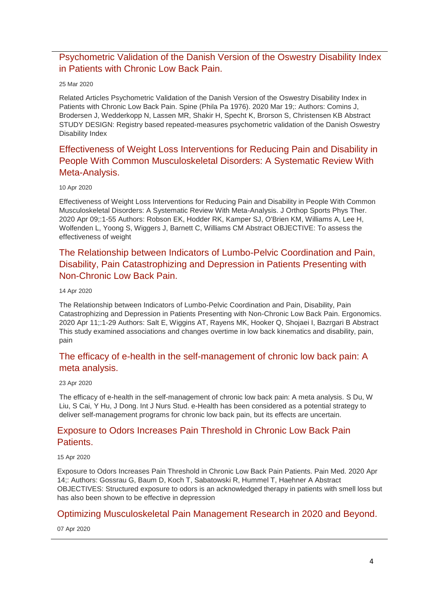## [Psychometric Validation of the Danish Version of the Oswestry Disability Index](http://transit.linexsystems.com/track/click/30370861/ca.linexsystems.com?p=eyJzIjoicmRYZGdORjNEdXBXTlc1N2tFNTFTdTNOZjdnIiwidiI6MSwicCI6IntcInVcIjozMDM3MDg2MSxcInZcIjoxLFwidXJsXCI6XCJodHRwOlxcXC9cXFwvY2EubGluZXhzeXN0ZW1zLmNvbVxcXC9jb250ZW50c1xcXC90cmFuc2l0XFxcLzM2NzAwMTA5MTU_dXNlcl9pZD00NDM1MTUmbG9nPTc5Y2ZhYjYyNGM2ZjAyMDU3MTQ2YzFjZGFkZmYyZWRmJnA9OTQxNDM1MjUmbT0xJmM9MzUyOTEwODkxNSZvcmdfaWQ9MTc0ODFcIixcImlkXCI6XCI5ZDE5NTllOTFlY2Y0ZTYzOTNiYjJkMzE1MGE3ZDFhMVwiLFwidXJsX2lkc1wiOltcIjA1ZTliM2YxZjk4OTA1NGZlM2JjODI0YWQ4ZmExYjhmMWYyMzVkMTNcIl19In0)  [in Patients with Chronic Low Back Pain.](http://transit.linexsystems.com/track/click/30370861/ca.linexsystems.com?p=eyJzIjoicmRYZGdORjNEdXBXTlc1N2tFNTFTdTNOZjdnIiwidiI6MSwicCI6IntcInVcIjozMDM3MDg2MSxcInZcIjoxLFwidXJsXCI6XCJodHRwOlxcXC9cXFwvY2EubGluZXhzeXN0ZW1zLmNvbVxcXC9jb250ZW50c1xcXC90cmFuc2l0XFxcLzM2NzAwMTA5MTU_dXNlcl9pZD00NDM1MTUmbG9nPTc5Y2ZhYjYyNGM2ZjAyMDU3MTQ2YzFjZGFkZmYyZWRmJnA9OTQxNDM1MjUmbT0xJmM9MzUyOTEwODkxNSZvcmdfaWQ9MTc0ODFcIixcImlkXCI6XCI5ZDE5NTllOTFlY2Y0ZTYzOTNiYjJkMzE1MGE3ZDFhMVwiLFwidXJsX2lkc1wiOltcIjA1ZTliM2YxZjk4OTA1NGZlM2JjODI0YWQ4ZmExYjhmMWYyMzVkMTNcIl19In0)

#### 25 Mar 2020

Related Articles Psychometric Validation of the Danish Version of the Oswestry Disability Index in Patients with Chronic Low Back Pain. Spine (Phila Pa 1976). 2020 Mar 19;: Authors: Comins J, Brodersen J, Wedderkopp N, Lassen MR, Shakir H, Specht K, Brorson S, Christensen KB Abstract STUDY DESIGN: Registry based repeated-measures psychometric validation of the Danish Oswestry Disability Index

## [Effectiveness of Weight Loss Interventions for Reducing Pain and Disability in](http://transit.linexsystems.com/track/click/30370861/ca.linexsystems.com?p=eyJzIjoiN2pfZnlvVnA1cHhnUTNfX1VsWHd5V1NKbWJ3IiwidiI6MSwicCI6IntcInVcIjozMDM3MDg2MSxcInZcIjoxLFwidXJsXCI6XCJodHRwOlxcXC9cXFwvY2EubGluZXhzeXN0ZW1zLmNvbVxcXC9jb250ZW50c1xcXC90cmFuc2l0XFxcLzM2ODc1OTQ1NDU_dXNlcl9pZD00NDM1MTUmbG9nPTc5Y2ZhYjYyNGM2ZjAyMDU3MTQ2YzFjZGFkZmYyZWRmJnA9OTQxNDM1MjUmbT0xJmM9MzUyOTEwOTY3NSZvcmdfaWQ9MTc0ODFcIixcImlkXCI6XCI5ZDE5NTllOTFlY2Y0ZTYzOTNiYjJkMzE1MGE3ZDFhMVwiLFwidXJsX2lkc1wiOltcIjA1ZTliM2YxZjk4OTA1NGZlM2JjODI0YWQ4ZmExYjhmMWYyMzVkMTNcIl19In0)  [People With Common Musculoskeletal Disorders: A](http://transit.linexsystems.com/track/click/30370861/ca.linexsystems.com?p=eyJzIjoiN2pfZnlvVnA1cHhnUTNfX1VsWHd5V1NKbWJ3IiwidiI6MSwicCI6IntcInVcIjozMDM3MDg2MSxcInZcIjoxLFwidXJsXCI6XCJodHRwOlxcXC9cXFwvY2EubGluZXhzeXN0ZW1zLmNvbVxcXC9jb250ZW50c1xcXC90cmFuc2l0XFxcLzM2ODc1OTQ1NDU_dXNlcl9pZD00NDM1MTUmbG9nPTc5Y2ZhYjYyNGM2ZjAyMDU3MTQ2YzFjZGFkZmYyZWRmJnA9OTQxNDM1MjUmbT0xJmM9MzUyOTEwOTY3NSZvcmdfaWQ9MTc0ODFcIixcImlkXCI6XCI5ZDE5NTllOTFlY2Y0ZTYzOTNiYjJkMzE1MGE3ZDFhMVwiLFwidXJsX2lkc1wiOltcIjA1ZTliM2YxZjk4OTA1NGZlM2JjODI0YWQ4ZmExYjhmMWYyMzVkMTNcIl19In0) Systematic Review With [Meta-Analysis.](http://transit.linexsystems.com/track/click/30370861/ca.linexsystems.com?p=eyJzIjoiN2pfZnlvVnA1cHhnUTNfX1VsWHd5V1NKbWJ3IiwidiI6MSwicCI6IntcInVcIjozMDM3MDg2MSxcInZcIjoxLFwidXJsXCI6XCJodHRwOlxcXC9cXFwvY2EubGluZXhzeXN0ZW1zLmNvbVxcXC9jb250ZW50c1xcXC90cmFuc2l0XFxcLzM2ODc1OTQ1NDU_dXNlcl9pZD00NDM1MTUmbG9nPTc5Y2ZhYjYyNGM2ZjAyMDU3MTQ2YzFjZGFkZmYyZWRmJnA9OTQxNDM1MjUmbT0xJmM9MzUyOTEwOTY3NSZvcmdfaWQ9MTc0ODFcIixcImlkXCI6XCI5ZDE5NTllOTFlY2Y0ZTYzOTNiYjJkMzE1MGE3ZDFhMVwiLFwidXJsX2lkc1wiOltcIjA1ZTliM2YxZjk4OTA1NGZlM2JjODI0YWQ4ZmExYjhmMWYyMzVkMTNcIl19In0)

#### 10 Apr 2020

Effectiveness of Weight Loss Interventions for Reducing Pain and Disability in People With Common Musculoskeletal Disorders: A Systematic Review With Meta-Analysis. J Orthop Sports Phys Ther. 2020 Apr 09;:1-55 Authors: Robson EK, Hodder RK, Kamper SJ, O'Brien KM, Williams A, Lee H, Wolfenden L, Yoong S, Wiggers J, Barnett C, Williams CM Abstract OBJECTIVE: To assess the effectiveness of weight

## [The Relationship between Indicators of Lumbo-Pelvic Coordination and Pain,](http://transit.linexsystems.com/track/click/30370861/ca.linexsystems.com?p=eyJzIjoiLVNVMDl0b3pxRk1rNmlMbHljbS1OS25TejdnIiwidiI6MSwicCI6IntcInVcIjozMDM3MDg2MSxcInZcIjoxLFwidXJsXCI6XCJodHRwOlxcXC9cXFwvY2EubGluZXhzeXN0ZW1zLmNvbVxcXC9jb250ZW50c1xcXC90cmFuc2l0XFxcLzM2OTA0MTQ1ODU_dXNlcl9pZD00NDM1MTUmbG9nPTc5Y2ZhYjYyNGM2ZjAyMDU3MTQ2YzFjZGFkZmYyZWRmJnA9OTQxNDM1MjUmbT0xJmM9MzUyOTEwODkxNSZvcmdfaWQ9MTc0ODFcIixcImlkXCI6XCI5ZDE5NTllOTFlY2Y0ZTYzOTNiYjJkMzE1MGE3ZDFhMVwiLFwidXJsX2lkc1wiOltcIjA1ZTliM2YxZjk4OTA1NGZlM2JjODI0YWQ4ZmExYjhmMWYyMzVkMTNcIl19In0)  [Disability, Pain Catastrophizing and Depression in Patients Presenting with](http://transit.linexsystems.com/track/click/30370861/ca.linexsystems.com?p=eyJzIjoiLVNVMDl0b3pxRk1rNmlMbHljbS1OS25TejdnIiwidiI6MSwicCI6IntcInVcIjozMDM3MDg2MSxcInZcIjoxLFwidXJsXCI6XCJodHRwOlxcXC9cXFwvY2EubGluZXhzeXN0ZW1zLmNvbVxcXC9jb250ZW50c1xcXC90cmFuc2l0XFxcLzM2OTA0MTQ1ODU_dXNlcl9pZD00NDM1MTUmbG9nPTc5Y2ZhYjYyNGM2ZjAyMDU3MTQ2YzFjZGFkZmYyZWRmJnA9OTQxNDM1MjUmbT0xJmM9MzUyOTEwODkxNSZvcmdfaWQ9MTc0ODFcIixcImlkXCI6XCI5ZDE5NTllOTFlY2Y0ZTYzOTNiYjJkMzE1MGE3ZDFhMVwiLFwidXJsX2lkc1wiOltcIjA1ZTliM2YxZjk4OTA1NGZlM2JjODI0YWQ4ZmExYjhmMWYyMzVkMTNcIl19In0)  [Non-Chronic Low Back Pain.](http://transit.linexsystems.com/track/click/30370861/ca.linexsystems.com?p=eyJzIjoiLVNVMDl0b3pxRk1rNmlMbHljbS1OS25TejdnIiwidiI6MSwicCI6IntcInVcIjozMDM3MDg2MSxcInZcIjoxLFwidXJsXCI6XCJodHRwOlxcXC9cXFwvY2EubGluZXhzeXN0ZW1zLmNvbVxcXC9jb250ZW50c1xcXC90cmFuc2l0XFxcLzM2OTA0MTQ1ODU_dXNlcl9pZD00NDM1MTUmbG9nPTc5Y2ZhYjYyNGM2ZjAyMDU3MTQ2YzFjZGFkZmYyZWRmJnA9OTQxNDM1MjUmbT0xJmM9MzUyOTEwODkxNSZvcmdfaWQ9MTc0ODFcIixcImlkXCI6XCI5ZDE5NTllOTFlY2Y0ZTYzOTNiYjJkMzE1MGE3ZDFhMVwiLFwidXJsX2lkc1wiOltcIjA1ZTliM2YxZjk4OTA1NGZlM2JjODI0YWQ4ZmExYjhmMWYyMzVkMTNcIl19In0)

#### 14 Apr 2020

The Relationship between Indicators of Lumbo-Pelvic Coordination and Pain, Disability, Pain Catastrophizing and Depression in Patients Presenting with Non-Chronic Low Back Pain. Ergonomics. 2020 Apr 11;:1-29 Authors: Salt E, Wiggins AT, Rayens MK, Hooker Q, Shojaei I, Bazrgari B Abstract This study examined associations and changes overtime in low back kinematics and disability, pain, pain

### [The efficacy of e-health in the self-management of chronic low back pain: A](http://transit.linexsystems.com/track/click/30370861/ca.linexsystems.com?p=eyJzIjoiRTFRdjk2VUV4Q2o0am56djNua0dXaHFFU3I0IiwidiI6MSwicCI6IntcInVcIjozMDM3MDg2MSxcInZcIjoxLFwidXJsXCI6XCJodHRwOlxcXC9cXFwvY2EubGluZXhzeXN0ZW1zLmNvbVxcXC9jb250ZW50c1xcXC90cmFuc2l0XFxcLzM3MDA1Mjg5ODU_dXNlcl9pZD00NDM1MTUmbG9nPTc5Y2ZhYjYyNGM2ZjAyMDU3MTQ2YzFjZGFkZmYyZWRmJnA9OTQxNDM1MjUmbT0xJmM9MzUyOTEwODkxNSZvcmdfaWQ9MTc0ODFcIixcImlkXCI6XCI5ZDE5NTllOTFlY2Y0ZTYzOTNiYjJkMzE1MGE3ZDFhMVwiLFwidXJsX2lkc1wiOltcIjA1ZTliM2YxZjk4OTA1NGZlM2JjODI0YWQ4ZmExYjhmMWYyMzVkMTNcIl19In0)  [meta analysis.](http://transit.linexsystems.com/track/click/30370861/ca.linexsystems.com?p=eyJzIjoiRTFRdjk2VUV4Q2o0am56djNua0dXaHFFU3I0IiwidiI6MSwicCI6IntcInVcIjozMDM3MDg2MSxcInZcIjoxLFwidXJsXCI6XCJodHRwOlxcXC9cXFwvY2EubGluZXhzeXN0ZW1zLmNvbVxcXC9jb250ZW50c1xcXC90cmFuc2l0XFxcLzM3MDA1Mjg5ODU_dXNlcl9pZD00NDM1MTUmbG9nPTc5Y2ZhYjYyNGM2ZjAyMDU3MTQ2YzFjZGFkZmYyZWRmJnA9OTQxNDM1MjUmbT0xJmM9MzUyOTEwODkxNSZvcmdfaWQ9MTc0ODFcIixcImlkXCI6XCI5ZDE5NTllOTFlY2Y0ZTYzOTNiYjJkMzE1MGE3ZDFhMVwiLFwidXJsX2lkc1wiOltcIjA1ZTliM2YxZjk4OTA1NGZlM2JjODI0YWQ4ZmExYjhmMWYyMzVkMTNcIl19In0)

#### 23 Apr 2020

The efficacy of e-health in the self-management of chronic low back pain: A meta analysis. S Du, W Liu, S Cai, Y Hu, J Dong. Int J Nurs Stud. e-Health has been considered as a potential strategy to deliver self-management programs for chronic low back pain, but its effects are uncertain.

### [Exposure to Odors Increases Pain Threshold in Chronic Low Back Pain](http://transit.linexsystems.com/track/click/30370861/ca.linexsystems.com?p=eyJzIjoiWXJhREh0dHpCSmRVM2FOaXlJWEYwU0lJaXM0IiwidiI6MSwicCI6IntcInVcIjozMDM3MDg2MSxcInZcIjoxLFwidXJsXCI6XCJodHRwOlxcXC9cXFwvY2EubGluZXhzeXN0ZW1zLmNvbVxcXC9jb250ZW50c1xcXC90cmFuc2l0XFxcLzM2OTE3NDU1MTU_dXNlcl9pZD00NDM1MTUmbG9nPTc5Y2ZhYjYyNGM2ZjAyMDU3MTQ2YzFjZGFkZmYyZWRmJnA9OTQxNDM1MjUmbT0xJmM9MzUyOTEwODkxNSZvcmdfaWQ9MTc0ODFcIixcImlkXCI6XCI5ZDE5NTllOTFlY2Y0ZTYzOTNiYjJkMzE1MGE3ZDFhMVwiLFwidXJsX2lkc1wiOltcIjA1ZTliM2YxZjk4OTA1NGZlM2JjODI0YWQ4ZmExYjhmMWYyMzVkMTNcIl19In0)  [Patients.](http://transit.linexsystems.com/track/click/30370861/ca.linexsystems.com?p=eyJzIjoiWXJhREh0dHpCSmRVM2FOaXlJWEYwU0lJaXM0IiwidiI6MSwicCI6IntcInVcIjozMDM3MDg2MSxcInZcIjoxLFwidXJsXCI6XCJodHRwOlxcXC9cXFwvY2EubGluZXhzeXN0ZW1zLmNvbVxcXC9jb250ZW50c1xcXC90cmFuc2l0XFxcLzM2OTE3NDU1MTU_dXNlcl9pZD00NDM1MTUmbG9nPTc5Y2ZhYjYyNGM2ZjAyMDU3MTQ2YzFjZGFkZmYyZWRmJnA9OTQxNDM1MjUmbT0xJmM9MzUyOTEwODkxNSZvcmdfaWQ9MTc0ODFcIixcImlkXCI6XCI5ZDE5NTllOTFlY2Y0ZTYzOTNiYjJkMzE1MGE3ZDFhMVwiLFwidXJsX2lkc1wiOltcIjA1ZTliM2YxZjk4OTA1NGZlM2JjODI0YWQ4ZmExYjhmMWYyMzVkMTNcIl19In0)

#### 15 Apr 2020

Exposure to Odors Increases Pain Threshold in Chronic Low Back Pain Patients. Pain Med. 2020 Apr 14;: Authors: Gossrau G, Baum D, Koch T, Sabatowski R, Hummel T, Haehner A Abstract OBJECTIVES: Structured exposure to odors is an acknowledged therapy in patients with smell loss but has also been shown to be effective in depression

### [Optimizing Musculoskeletal Pain Management Research in 2020 and Beyond.](https://journals.lww.com/jbjsjournal/pages/articleviewer.aspx?year=9000&issue=00000&article=99783&type=Citation)

07 Apr 2020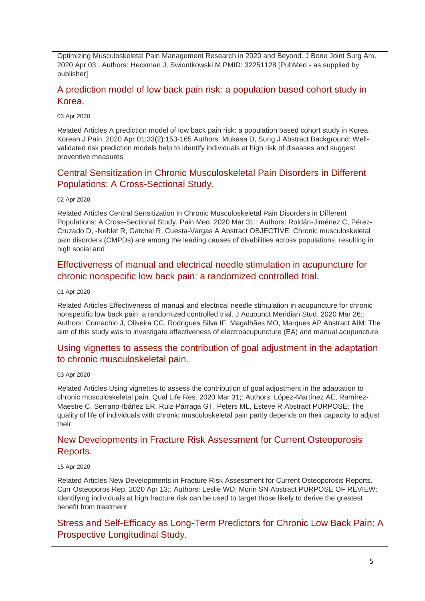Optimizing Musculoskeletal Pain Management Research in 2020 and Beyond. J Bone Joint Surg Am. 2020 Apr 03;: Authors: Heckman J, Swiontkowski M PMID: 32251128 [PubMed - as supplied by publisher]

### [A prediction model of low back pain risk: a population based cohort study in](http://transit.linexsystems.com/track/click/30370861/ca.linexsystems.com?p=eyJzIjoiUTFiN05TZW9kRnJIT0R4RmtKMGFQR3FPbWRjIiwidiI6MSwicCI6IntcInVcIjozMDM3MDg2MSxcInZcIjoxLFwidXJsXCI6XCJodHRwOlxcXC9cXFwvY2EubGluZXhzeXN0ZW1zLmNvbVxcXC9jb250ZW50c1xcXC90cmFuc2l0XFxcLzM2ODAxOTg3MzU_dXNlcl9pZD00NDM1MTUmbG9nPTc5Y2ZhYjYyNGM2ZjAyMDU3MTQ2YzFjZGFkZmYyZWRmJnA9OTQxNDM1MjUmbT0xJmM9MzUyOTEwODkxNSZvcmdfaWQ9MTc0ODFcIixcImlkXCI6XCI5ZDE5NTllOTFlY2Y0ZTYzOTNiYjJkMzE1MGE3ZDFhMVwiLFwidXJsX2lkc1wiOltcIjA1ZTliM2YxZjk4OTA1NGZlM2JjODI0YWQ4ZmExYjhmMWYyMzVkMTNcIl19In0)  [Korea.](http://transit.linexsystems.com/track/click/30370861/ca.linexsystems.com?p=eyJzIjoiUTFiN05TZW9kRnJIT0R4RmtKMGFQR3FPbWRjIiwidiI6MSwicCI6IntcInVcIjozMDM3MDg2MSxcInZcIjoxLFwidXJsXCI6XCJodHRwOlxcXC9cXFwvY2EubGluZXhzeXN0ZW1zLmNvbVxcXC9jb250ZW50c1xcXC90cmFuc2l0XFxcLzM2ODAxOTg3MzU_dXNlcl9pZD00NDM1MTUmbG9nPTc5Y2ZhYjYyNGM2ZjAyMDU3MTQ2YzFjZGFkZmYyZWRmJnA9OTQxNDM1MjUmbT0xJmM9MzUyOTEwODkxNSZvcmdfaWQ9MTc0ODFcIixcImlkXCI6XCI5ZDE5NTllOTFlY2Y0ZTYzOTNiYjJkMzE1MGE3ZDFhMVwiLFwidXJsX2lkc1wiOltcIjA1ZTliM2YxZjk4OTA1NGZlM2JjODI0YWQ4ZmExYjhmMWYyMzVkMTNcIl19In0)

03 Apr 2020

Related Articles A prediction model of low back pain risk: a population based cohort study in Korea. Korean J Pain. 2020 Apr 01;33(2):153-165 Authors: Mukasa D, Sung J Abstract Background: Wellvalidated risk prediction models help to identify individuals at high risk of diseases and suggest preventive measures

### [Central Sensitization in Chronic Musculoskeletal Pain Disorders in Different](http://transit.linexsystems.com/track/click/30370861/ca.linexsystems.com?p=eyJzIjoiUW54QkxNNHdzYlpybkRYbEZZdFF5M19IRTlRIiwidiI6MSwicCI6IntcInVcIjozMDM3MDg2MSxcInZcIjoxLFwidXJsXCI6XCJodHRwOlxcXC9cXFwvY2EubGluZXhzeXN0ZW1zLmNvbVxcXC9jb250ZW50c1xcXC90cmFuc2l0XFxcLzM2Nzg3OTc0MzU_dXNlcl9pZD00NDM1MTUmbG9nPTc5Y2ZhYjYyNGM2ZjAyMDU3MTQ2YzFjZGFkZmYyZWRmJnA9OTQxNDM1MjUmbT0xJmM9MzUyOTEwODkxNSZvcmdfaWQ9MTc0ODFcIixcImlkXCI6XCI5ZDE5NTllOTFlY2Y0ZTYzOTNiYjJkMzE1MGE3ZDFhMVwiLFwidXJsX2lkc1wiOltcIjA1ZTliM2YxZjk4OTA1NGZlM2JjODI0YWQ4ZmExYjhmMWYyMzVkMTNcIl19In0)  [Populations: A Cross-Sectional Study.](http://transit.linexsystems.com/track/click/30370861/ca.linexsystems.com?p=eyJzIjoiUW54QkxNNHdzYlpybkRYbEZZdFF5M19IRTlRIiwidiI6MSwicCI6IntcInVcIjozMDM3MDg2MSxcInZcIjoxLFwidXJsXCI6XCJodHRwOlxcXC9cXFwvY2EubGluZXhzeXN0ZW1zLmNvbVxcXC9jb250ZW50c1xcXC90cmFuc2l0XFxcLzM2Nzg3OTc0MzU_dXNlcl9pZD00NDM1MTUmbG9nPTc5Y2ZhYjYyNGM2ZjAyMDU3MTQ2YzFjZGFkZmYyZWRmJnA9OTQxNDM1MjUmbT0xJmM9MzUyOTEwODkxNSZvcmdfaWQ9MTc0ODFcIixcImlkXCI6XCI5ZDE5NTllOTFlY2Y0ZTYzOTNiYjJkMzE1MGE3ZDFhMVwiLFwidXJsX2lkc1wiOltcIjA1ZTliM2YxZjk4OTA1NGZlM2JjODI0YWQ4ZmExYjhmMWYyMzVkMTNcIl19In0)

#### 02 Apr 2020

Related Articles Central Sensitization in Chronic Musculoskeletal Pain Disorders in Different Populations: A Cross-Sectional Study. Pain Med. 2020 Mar 31;: Authors: Roldán-Jiménez C, Pérez-Cruzado D, -Neblet R, Gatchel R, Cuesta-Vargas A Abstract OBJECTIVE: Chronic musculoskeletal pain disorders (CMPDs) are among the leading causes of disabilities across populations, resulting in high social and

### [Effectiveness of manual and electrical needle stimulation in acupuncture for](http://transit.linexsystems.com/track/click/30370861/ca.linexsystems.com?p=eyJzIjoic1EwVEJuR2MzbkFIMmgyWUFWT0J1MGY3UFI0IiwidiI6MSwicCI6IntcInVcIjozMDM3MDg2MSxcInZcIjoxLFwidXJsXCI6XCJodHRwOlxcXC9cXFwvY2EubGluZXhzeXN0ZW1zLmNvbVxcXC9jb250ZW50c1xcXC90cmFuc2l0XFxcLzM2Nzc1MDk3NzU_dXNlcl9pZD00NDM1MTUmbG9nPTc5Y2ZhYjYyNGM2ZjAyMDU3MTQ2YzFjZGFkZmYyZWRmJnA9OTQxNDM1MjUmbT0xJmM9MzUyOTEwODkxNSZvcmdfaWQ9MTc0ODFcIixcImlkXCI6XCI5ZDE5NTllOTFlY2Y0ZTYzOTNiYjJkMzE1MGE3ZDFhMVwiLFwidXJsX2lkc1wiOltcIjA1ZTliM2YxZjk4OTA1NGZlM2JjODI0YWQ4ZmExYjhmMWYyMzVkMTNcIl19In0)  [chronic nonspecific low back pain: a randomized controlled trial.](http://transit.linexsystems.com/track/click/30370861/ca.linexsystems.com?p=eyJzIjoic1EwVEJuR2MzbkFIMmgyWUFWT0J1MGY3UFI0IiwidiI6MSwicCI6IntcInVcIjozMDM3MDg2MSxcInZcIjoxLFwidXJsXCI6XCJodHRwOlxcXC9cXFwvY2EubGluZXhzeXN0ZW1zLmNvbVxcXC9jb250ZW50c1xcXC90cmFuc2l0XFxcLzM2Nzc1MDk3NzU_dXNlcl9pZD00NDM1MTUmbG9nPTc5Y2ZhYjYyNGM2ZjAyMDU3MTQ2YzFjZGFkZmYyZWRmJnA9OTQxNDM1MjUmbT0xJmM9MzUyOTEwODkxNSZvcmdfaWQ9MTc0ODFcIixcImlkXCI6XCI5ZDE5NTllOTFlY2Y0ZTYzOTNiYjJkMzE1MGE3ZDFhMVwiLFwidXJsX2lkc1wiOltcIjA1ZTliM2YxZjk4OTA1NGZlM2JjODI0YWQ4ZmExYjhmMWYyMzVkMTNcIl19In0)

#### 01 Apr 2020

Related Articles Effectiveness of manual and electrical needle stimulation in acupuncture for chronic nonspecific low back pain: a randomized controlled trial. J Acupunct Meridian Stud. 2020 Mar 26;: Authors: Comachio J, Oliveira CC, Rodrigues Silva IF, Magalhães MO, Marques AP Abstract AIM: The aim of this study was to investigate effectiveness of electroacupuncture (EA) and manual acupuncture

### [Using vignettes to assess the contribution of goal adjustment in the adaptation](http://transit.linexsystems.com/track/click/30370861/ca.linexsystems.com?p=eyJzIjoiRmdfLXF2cXJ0OGwxWjZHRmlJY1lsNTFMX04wIiwidiI6MSwicCI6IntcInVcIjozMDM3MDg2MSxcInZcIjoxLFwidXJsXCI6XCJodHRwOlxcXC9cXFwvY2EubGluZXhzeXN0ZW1zLmNvbVxcXC9jb250ZW50c1xcXC90cmFuc2l0XFxcLzM2ODAxOTg5NjU_dXNlcl9pZD00NDM1MTUmbG9nPTc5Y2ZhYjYyNGM2ZjAyMDU3MTQ2YzFjZGFkZmYyZWRmJnA9OTQxNDM1MjUmbT0xJmM9MzUyOTEwODkxNSZvcmdfaWQ9MTc0ODFcIixcImlkXCI6XCI5ZDE5NTllOTFlY2Y0ZTYzOTNiYjJkMzE1MGE3ZDFhMVwiLFwidXJsX2lkc1wiOltcIjA1ZTliM2YxZjk4OTA1NGZlM2JjODI0YWQ4ZmExYjhmMWYyMzVkMTNcIl19In0)  [to chronic musculoskeletal pain.](http://transit.linexsystems.com/track/click/30370861/ca.linexsystems.com?p=eyJzIjoiRmdfLXF2cXJ0OGwxWjZHRmlJY1lsNTFMX04wIiwidiI6MSwicCI6IntcInVcIjozMDM3MDg2MSxcInZcIjoxLFwidXJsXCI6XCJodHRwOlxcXC9cXFwvY2EubGluZXhzeXN0ZW1zLmNvbVxcXC9jb250ZW50c1xcXC90cmFuc2l0XFxcLzM2ODAxOTg5NjU_dXNlcl9pZD00NDM1MTUmbG9nPTc5Y2ZhYjYyNGM2ZjAyMDU3MTQ2YzFjZGFkZmYyZWRmJnA9OTQxNDM1MjUmbT0xJmM9MzUyOTEwODkxNSZvcmdfaWQ9MTc0ODFcIixcImlkXCI6XCI5ZDE5NTllOTFlY2Y0ZTYzOTNiYjJkMzE1MGE3ZDFhMVwiLFwidXJsX2lkc1wiOltcIjA1ZTliM2YxZjk4OTA1NGZlM2JjODI0YWQ4ZmExYjhmMWYyMzVkMTNcIl19In0)

#### 03 Apr 2020

Related Articles Using vignettes to assess the contribution of goal adjustment in the adaptation to chronic musculoskeletal pain. Qual Life Res. 2020 Mar 31;: Authors: López-Martínez AE, Ramírez-Maestre C, Serrano-Ibáñez ER, Ruiz-Párraga GT, Peters ML, Esteve R Abstract PURPOSE: The quality of life of individuals with chronic musculoskeletal pain partly depends on their capacity to adjust their

### [New Developments in Fracture Risk Assessment for Current Osteoporosis](http://transit.linexsystems.com/track/click/30370861/ca.linexsystems.com?p=eyJzIjoiTTFpY2psdHpjUHV5YXBnc3YzSWpQbjliODl3IiwidiI6MSwicCI6IntcInVcIjozMDM3MDg2MSxcInZcIjoxLFwidXJsXCI6XCJodHRwOlxcXC9cXFwvY2EubGluZXhzeXN0ZW1zLmNvbVxcXC9jb250ZW50c1xcXC90cmFuc2l0XFxcLzM2OTE3MzQzMDU_dXNlcl9pZD00NDM1MTUmbG9nPTc5Y2ZhYjYyNGM2ZjAyMDU3MTQ2YzFjZGFkZmYyZWRmJnA9OTQxNDM1MjUmbT0xJmM9MzUyOTEwODkxNSZvcmdfaWQ9MTc0ODFcIixcImlkXCI6XCI5ZDE5NTllOTFlY2Y0ZTYzOTNiYjJkMzE1MGE3ZDFhMVwiLFwidXJsX2lkc1wiOltcIjA1ZTliM2YxZjk4OTA1NGZlM2JjODI0YWQ4ZmExYjhmMWYyMzVkMTNcIl19In0)  [Reports.](http://transit.linexsystems.com/track/click/30370861/ca.linexsystems.com?p=eyJzIjoiTTFpY2psdHpjUHV5YXBnc3YzSWpQbjliODl3IiwidiI6MSwicCI6IntcInVcIjozMDM3MDg2MSxcInZcIjoxLFwidXJsXCI6XCJodHRwOlxcXC9cXFwvY2EubGluZXhzeXN0ZW1zLmNvbVxcXC9jb250ZW50c1xcXC90cmFuc2l0XFxcLzM2OTE3MzQzMDU_dXNlcl9pZD00NDM1MTUmbG9nPTc5Y2ZhYjYyNGM2ZjAyMDU3MTQ2YzFjZGFkZmYyZWRmJnA9OTQxNDM1MjUmbT0xJmM9MzUyOTEwODkxNSZvcmdfaWQ9MTc0ODFcIixcImlkXCI6XCI5ZDE5NTllOTFlY2Y0ZTYzOTNiYjJkMzE1MGE3ZDFhMVwiLFwidXJsX2lkc1wiOltcIjA1ZTliM2YxZjk4OTA1NGZlM2JjODI0YWQ4ZmExYjhmMWYyMzVkMTNcIl19In0)

#### 15 Apr 2020

Related Articles New Developments in Fracture Risk Assessment for Current Osteoporosis Reports. Curr Osteoporos Rep. 2020 Apr 13;: Authors: Leslie WD, Morin SN Abstract PURPOSE OF REVIEW: Identifying individuals at high fracture risk can be used to target those likely to derive the greatest benefit from treatment

# [Stress and Self-Efficacy as Long-Term Predictors for Chronic Low Back Pain: A](http://transit.linexsystems.com/track/click/30370861/ca.linexsystems.com?p=eyJzIjoiMWNCU1g4b0J5NkFOX0phdG9EdDg3VUpXLXpnIiwidiI6MSwicCI6IntcInVcIjozMDM3MDg2MSxcInZcIjoxLFwidXJsXCI6XCJodHRwOlxcXC9cXFwvY2EubGluZXhzeXN0ZW1zLmNvbVxcXC9jb250ZW50c1xcXC90cmFuc2l0XFxcLzM2OTA0MTQ0MjU_dXNlcl9pZD00NDM1MTUmbG9nPTc5Y2ZhYjYyNGM2ZjAyMDU3MTQ2YzFjZGFkZmYyZWRmJnA9OTQxNDM1MjUmbT0xJmM9MzUyOTEwODkxNSZvcmdfaWQ9MTc0ODFcIixcImlkXCI6XCI5ZDE5NTllOTFlY2Y0ZTYzOTNiYjJkMzE1MGE3ZDFhMVwiLFwidXJsX2lkc1wiOltcIjA1ZTliM2YxZjk4OTA1NGZlM2JjODI0YWQ4ZmExYjhmMWYyMzVkMTNcIl19In0)  [Prospective Longitudinal Study.](http://transit.linexsystems.com/track/click/30370861/ca.linexsystems.com?p=eyJzIjoiMWNCU1g4b0J5NkFOX0phdG9EdDg3VUpXLXpnIiwidiI6MSwicCI6IntcInVcIjozMDM3MDg2MSxcInZcIjoxLFwidXJsXCI6XCJodHRwOlxcXC9cXFwvY2EubGluZXhzeXN0ZW1zLmNvbVxcXC9jb250ZW50c1xcXC90cmFuc2l0XFxcLzM2OTA0MTQ0MjU_dXNlcl9pZD00NDM1MTUmbG9nPTc5Y2ZhYjYyNGM2ZjAyMDU3MTQ2YzFjZGFkZmYyZWRmJnA9OTQxNDM1MjUmbT0xJmM9MzUyOTEwODkxNSZvcmdfaWQ9MTc0ODFcIixcImlkXCI6XCI5ZDE5NTllOTFlY2Y0ZTYzOTNiYjJkMzE1MGE3ZDFhMVwiLFwidXJsX2lkc1wiOltcIjA1ZTliM2YxZjk4OTA1NGZlM2JjODI0YWQ4ZmExYjhmMWYyMzVkMTNcIl19In0)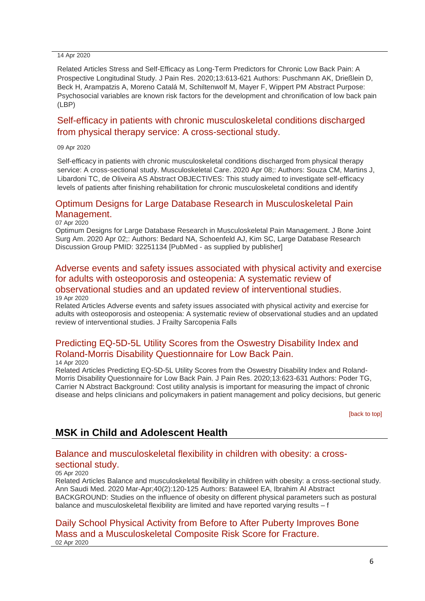#### 14 Apr 2020

Related Articles Stress and Self-Efficacy as Long-Term Predictors for Chronic Low Back Pain: A Prospective Longitudinal Study. J Pain Res. 2020;13:613-621 Authors: Puschmann AK, Drießlein D, Beck H, Arampatzis A, Moreno Catalá M, Schiltenwolf M, Mayer F, Wippert PM Abstract Purpose: Psychosocial variables are known risk factors for the development and chronification of low back pain (LBP)

## [Self-efficacy in patients with chronic musculoskeletal conditions discharged](http://transit.linexsystems.com/track/click/30370861/ca.linexsystems.com?p=eyJzIjoiakVNXzIxWEdWTWFlUzdOT0dWNFRlTmZGWmhBIiwidiI6MSwicCI6IntcInVcIjozMDM3MDg2MSxcInZcIjoxLFwidXJsXCI6XCJodHRwOlxcXC9cXFwvY2EubGluZXhzeXN0ZW1zLmNvbVxcXC9jb250ZW50c1xcXC90cmFuc2l0XFxcLzM2ODYzNTAyNzU_dXNlcl9pZD00NDM1MTUmbG9nPTc5Y2ZhYjYyNGM2ZjAyMDU3MTQ2YzFjZGFkZmYyZWRmJnA9OTQxNDM1MjUmbT0xJmM9MzUyOTEwODkxNSZvcmdfaWQ9MTc0ODFcIixcImlkXCI6XCI5ZDE5NTllOTFlY2Y0ZTYzOTNiYjJkMzE1MGE3ZDFhMVwiLFwidXJsX2lkc1wiOltcIjA1ZTliM2YxZjk4OTA1NGZlM2JjODI0YWQ4ZmExYjhmMWYyMzVkMTNcIl19In0)  [from physical therapy service: A cross-sectional study.](http://transit.linexsystems.com/track/click/30370861/ca.linexsystems.com?p=eyJzIjoiakVNXzIxWEdWTWFlUzdOT0dWNFRlTmZGWmhBIiwidiI6MSwicCI6IntcInVcIjozMDM3MDg2MSxcInZcIjoxLFwidXJsXCI6XCJodHRwOlxcXC9cXFwvY2EubGluZXhzeXN0ZW1zLmNvbVxcXC9jb250ZW50c1xcXC90cmFuc2l0XFxcLzM2ODYzNTAyNzU_dXNlcl9pZD00NDM1MTUmbG9nPTc5Y2ZhYjYyNGM2ZjAyMDU3MTQ2YzFjZGFkZmYyZWRmJnA9OTQxNDM1MjUmbT0xJmM9MzUyOTEwODkxNSZvcmdfaWQ9MTc0ODFcIixcImlkXCI6XCI5ZDE5NTllOTFlY2Y0ZTYzOTNiYjJkMzE1MGE3ZDFhMVwiLFwidXJsX2lkc1wiOltcIjA1ZTliM2YxZjk4OTA1NGZlM2JjODI0YWQ4ZmExYjhmMWYyMzVkMTNcIl19In0)

09 Apr 2020

Self-efficacy in patients with chronic musculoskeletal conditions discharged from physical therapy service: A cross-sectional study. Musculoskeletal Care. 2020 Apr 08;: Authors: Souza CM, Martins J, Libardoni TC, de Oliveira AS Abstract OBJECTIVES: This study aimed to investigate self-efficacy levels of patients after finishing rehabilitation for chronic musculoskeletal conditions and identify

### [Optimum Designs for Large Database Research in Musculoskeletal Pain](http://transit.linexsystems.com/track/click/30370861/ca.linexsystems.com?p=eyJzIjoiNWdGWnF3ZTh2SHp1MXVZTlNrT3dxck9PWUprIiwidiI6MSwicCI6IntcInVcIjozMDM3MDg2MSxcInZcIjoxLFwidXJsXCI6XCJodHRwOlxcXC9cXFwvY2EubGluZXhzeXN0ZW1zLmNvbVxcXC9jb250ZW50c1xcXC90cmFuc2l0XFxcLzM2ODM2ODYzNTU_dXNlcl9pZD00NDM1MTUmbG9nPTc5Y2ZhYjYyNGM2ZjAyMDU3MTQ2YzFjZGFkZmYyZWRmJnA9OTQxNDM1MjUmbT0xJmM9MzUyOTEwODkxNSZvcmdfaWQ9MTc0ODFcIixcImlkXCI6XCI5ZDE5NTllOTFlY2Y0ZTYzOTNiYjJkMzE1MGE3ZDFhMVwiLFwidXJsX2lkc1wiOltcIjA1ZTliM2YxZjk4OTA1NGZlM2JjODI0YWQ4ZmExYjhmMWYyMzVkMTNcIl19In0)  [Management.](http://transit.linexsystems.com/track/click/30370861/ca.linexsystems.com?p=eyJzIjoiNWdGWnF3ZTh2SHp1MXVZTlNrT3dxck9PWUprIiwidiI6MSwicCI6IntcInVcIjozMDM3MDg2MSxcInZcIjoxLFwidXJsXCI6XCJodHRwOlxcXC9cXFwvY2EubGluZXhzeXN0ZW1zLmNvbVxcXC9jb250ZW50c1xcXC90cmFuc2l0XFxcLzM2ODM2ODYzNTU_dXNlcl9pZD00NDM1MTUmbG9nPTc5Y2ZhYjYyNGM2ZjAyMDU3MTQ2YzFjZGFkZmYyZWRmJnA9OTQxNDM1MjUmbT0xJmM9MzUyOTEwODkxNSZvcmdfaWQ9MTc0ODFcIixcImlkXCI6XCI5ZDE5NTllOTFlY2Y0ZTYzOTNiYjJkMzE1MGE3ZDFhMVwiLFwidXJsX2lkc1wiOltcIjA1ZTliM2YxZjk4OTA1NGZlM2JjODI0YWQ4ZmExYjhmMWYyMzVkMTNcIl19In0)

07 Apr 2020

Optimum Designs for Large Database Research in Musculoskeletal Pain Management. J Bone Joint Surg Am. 2020 Apr 02;: Authors: Bedard NA, Schoenfeld AJ, Kim SC, Large Database Research Discussion Group PMID: 32251134 [PubMed - as supplied by publisher]

### [Adverse events and safety issues associated with physical activity and exercise](http://transit.linexsystems.com/track/click/30370861/ca.linexsystems.com?p=eyJzIjoicWN2OUo3RDJIQV9aNjdtZnVCVHJqSzlUdS1zIiwidiI6MSwicCI6IntcInVcIjozMDM3MDg2MSxcInZcIjoxLFwidXJsXCI6XCJodHRwOlxcXC9cXFwvY2EubGluZXhzeXN0ZW1zLmNvbVxcXC9jb250ZW50c1xcXC90cmFuc2l0XFxcLzM2OTU3NDk0NzU_dXNlcl9pZD00NDM1MTUmbG9nPTc5Y2ZhYjYyNGM2ZjAyMDU3MTQ2YzFjZGFkZmYyZWRmJnA9OTQxNDM1MjUmbT0xJmM9MzUyOTEwODUyNSZvcmdfaWQ9MTc0ODFcIixcImlkXCI6XCI5ZDE5NTllOTFlY2Y0ZTYzOTNiYjJkMzE1MGE3ZDFhMVwiLFwidXJsX2lkc1wiOltcIjA1ZTliM2YxZjk4OTA1NGZlM2JjODI0YWQ4ZmExYjhmMWYyMzVkMTNcIl19In0)  [for adults with osteoporosis and osteopenia: A systematic review of](http://transit.linexsystems.com/track/click/30370861/ca.linexsystems.com?p=eyJzIjoicWN2OUo3RDJIQV9aNjdtZnVCVHJqSzlUdS1zIiwidiI6MSwicCI6IntcInVcIjozMDM3MDg2MSxcInZcIjoxLFwidXJsXCI6XCJodHRwOlxcXC9cXFwvY2EubGluZXhzeXN0ZW1zLmNvbVxcXC9jb250ZW50c1xcXC90cmFuc2l0XFxcLzM2OTU3NDk0NzU_dXNlcl9pZD00NDM1MTUmbG9nPTc5Y2ZhYjYyNGM2ZjAyMDU3MTQ2YzFjZGFkZmYyZWRmJnA9OTQxNDM1MjUmbT0xJmM9MzUyOTEwODUyNSZvcmdfaWQ9MTc0ODFcIixcImlkXCI6XCI5ZDE5NTllOTFlY2Y0ZTYzOTNiYjJkMzE1MGE3ZDFhMVwiLFwidXJsX2lkc1wiOltcIjA1ZTliM2YxZjk4OTA1NGZlM2JjODI0YWQ4ZmExYjhmMWYyMzVkMTNcIl19In0)  [observational studies and an updated review of interventional studies.](http://transit.linexsystems.com/track/click/30370861/ca.linexsystems.com?p=eyJzIjoicWN2OUo3RDJIQV9aNjdtZnVCVHJqSzlUdS1zIiwidiI6MSwicCI6IntcInVcIjozMDM3MDg2MSxcInZcIjoxLFwidXJsXCI6XCJodHRwOlxcXC9cXFwvY2EubGluZXhzeXN0ZW1zLmNvbVxcXC9jb250ZW50c1xcXC90cmFuc2l0XFxcLzM2OTU3NDk0NzU_dXNlcl9pZD00NDM1MTUmbG9nPTc5Y2ZhYjYyNGM2ZjAyMDU3MTQ2YzFjZGFkZmYyZWRmJnA9OTQxNDM1MjUmbT0xJmM9MzUyOTEwODUyNSZvcmdfaWQ9MTc0ODFcIixcImlkXCI6XCI5ZDE5NTllOTFlY2Y0ZTYzOTNiYjJkMzE1MGE3ZDFhMVwiLFwidXJsX2lkc1wiOltcIjA1ZTliM2YxZjk4OTA1NGZlM2JjODI0YWQ4ZmExYjhmMWYyMzVkMTNcIl19In0) 19 Apr 2020

Related Articles Adverse events and safety issues associated with physical activity and exercise for adults with osteoporosis and osteopenia: A systematic review of observational studies and an updated review of interventional studies. J Frailty Sarcopenia Falls

# [Predicting EQ-5D-5L Utility Scores from the Oswestry Disability Index and](http://transit.linexsystems.com/track/click/30370861/ca.linexsystems.com?p=eyJzIjoidS1WZW5GdGdmcWowT3ZtMWVGVWxldWR1OEMwIiwidiI6MSwicCI6IntcInVcIjozMDM3MDg2MSxcInZcIjoxLFwidXJsXCI6XCJodHRwOlxcXC9cXFwvY2EubGluZXhzeXN0ZW1zLmNvbVxcXC9jb250ZW50c1xcXC90cmFuc2l0XFxcLzM2OTA0MDY4OTU_dXNlcl9pZD00NDM1MTUmbG9nPTc5Y2ZhYjYyNGM2ZjAyMDU3MTQ2YzFjZGFkZmYyZWRmJnA9OTQxNDM1MjUmbT0xJmM9MzUyOTEwOTY3NSZvcmdfaWQ9MTc0ODFcIixcImlkXCI6XCI5ZDE5NTllOTFlY2Y0ZTYzOTNiYjJkMzE1MGE3ZDFhMVwiLFwidXJsX2lkc1wiOltcIjA1ZTliM2YxZjk4OTA1NGZlM2JjODI0YWQ4ZmExYjhmMWYyMzVkMTNcIl19In0)  [Roland-Morris Disability Questionnaire for Low Back Pain.](http://transit.linexsystems.com/track/click/30370861/ca.linexsystems.com?p=eyJzIjoidS1WZW5GdGdmcWowT3ZtMWVGVWxldWR1OEMwIiwidiI6MSwicCI6IntcInVcIjozMDM3MDg2MSxcInZcIjoxLFwidXJsXCI6XCJodHRwOlxcXC9cXFwvY2EubGluZXhzeXN0ZW1zLmNvbVxcXC9jb250ZW50c1xcXC90cmFuc2l0XFxcLzM2OTA0MDY4OTU_dXNlcl9pZD00NDM1MTUmbG9nPTc5Y2ZhYjYyNGM2ZjAyMDU3MTQ2YzFjZGFkZmYyZWRmJnA9OTQxNDM1MjUmbT0xJmM9MzUyOTEwOTY3NSZvcmdfaWQ9MTc0ODFcIixcImlkXCI6XCI5ZDE5NTllOTFlY2Y0ZTYzOTNiYjJkMzE1MGE3ZDFhMVwiLFwidXJsX2lkc1wiOltcIjA1ZTliM2YxZjk4OTA1NGZlM2JjODI0YWQ4ZmExYjhmMWYyMzVkMTNcIl19In0)

14 Apr 2020

Related Articles Predicting EQ-5D-5L Utility Scores from the Oswestry Disability Index and Roland-Morris Disability Questionnaire for Low Back Pain. J Pain Res. 2020;13:623-631 Authors: Poder TG, Carrier N Abstract Background: Cost utility analysis is important for measuring the impact of chronic disease and helps clinicians and policymakers in patient management and policy decisions, but generic

<span id="page-5-0"></span>[\[back to top\]](#page-0-1)

# **MSK in Child and Adolescent Health**

### <span id="page-5-1"></span>[Balance and musculoskeletal flexibility in children with obesity: a cross](http://transit.linexsystems.com/track/click/30370861/ca.linexsystems.com?p=eyJzIjoiTHMtRjF1M3pENHRmdDNJOHpYd0lZZzZPQ2k0IiwidiI6MSwicCI6IntcInVcIjozMDM3MDg2MSxcInZcIjoxLFwidXJsXCI6XCJodHRwOlxcXC9cXFwvY2EubGluZXhzeXN0ZW1zLmNvbVxcXC9jb250ZW50c1xcXC90cmFuc2l0XFxcLzM2ODE0MjUzMjU_dXNlcl9pZD00NDM1MTUmbG9nPTc5Y2ZhYjYyNGM2ZjAyMDU3MTQ2YzFjZGFkZmYyZWRmJnA9OTQxNDM1MjUmbT0xJmM9MzUyOTEwODUyNSZvcmdfaWQ9MTc0ODFcIixcImlkXCI6XCI5ZDE5NTllOTFlY2Y0ZTYzOTNiYjJkMzE1MGE3ZDFhMVwiLFwidXJsX2lkc1wiOltcIjA1ZTliM2YxZjk4OTA1NGZlM2JjODI0YWQ4ZmExYjhmMWYyMzVkMTNcIl19In0)[sectional study.](http://transit.linexsystems.com/track/click/30370861/ca.linexsystems.com?p=eyJzIjoiTHMtRjF1M3pENHRmdDNJOHpYd0lZZzZPQ2k0IiwidiI6MSwicCI6IntcInVcIjozMDM3MDg2MSxcInZcIjoxLFwidXJsXCI6XCJodHRwOlxcXC9cXFwvY2EubGluZXhzeXN0ZW1zLmNvbVxcXC9jb250ZW50c1xcXC90cmFuc2l0XFxcLzM2ODE0MjUzMjU_dXNlcl9pZD00NDM1MTUmbG9nPTc5Y2ZhYjYyNGM2ZjAyMDU3MTQ2YzFjZGFkZmYyZWRmJnA9OTQxNDM1MjUmbT0xJmM9MzUyOTEwODUyNSZvcmdfaWQ9MTc0ODFcIixcImlkXCI6XCI5ZDE5NTllOTFlY2Y0ZTYzOTNiYjJkMzE1MGE3ZDFhMVwiLFwidXJsX2lkc1wiOltcIjA1ZTliM2YxZjk4OTA1NGZlM2JjODI0YWQ4ZmExYjhmMWYyMzVkMTNcIl19In0)

#### 05 Apr 2020

Related Articles Balance and musculoskeletal flexibility in children with obesity: a cross-sectional study. Ann Saudi Med. 2020 Mar-Apr;40(2):120-125 Authors: Bataweel EA, Ibrahim AI Abstract BACKGROUND: Studies on the influence of obesity on different physical parameters such as postural balance and musculoskeletal flexibility are limited and have reported varying results – f

#### [Daily School Physical Activity from Before to After Puberty Improves Bone](http://transit.linexsystems.com/track/click/30370861/ca.linexsystems.com?p=eyJzIjoic3IzSkJ3NXFINW55MTI1SWpOM1RiTFVueGhFIiwidiI6MSwicCI6IntcInVcIjozMDM3MDg2MSxcInZcIjoxLFwidXJsXCI6XCJodHRwOlxcXC9cXFwvY2EubGluZXhzeXN0ZW1zLmNvbVxcXC9jb250ZW50c1xcXC90cmFuc2l0XFxcLzM2Nzg4MDA2NzU_dXNlcl9pZD00NDM1MTUmbG9nPTc5Y2ZhYjYyNGM2ZjAyMDU3MTQ2YzFjZGFkZmYyZWRmJnA9OTQxNDM1MjUmbT0xJmM9MzUyOTEwODUyNSZvcmdfaWQ9MTc0ODFcIixcImlkXCI6XCI5ZDE5NTllOTFlY2Y0ZTYzOTNiYjJkMzE1MGE3ZDFhMVwiLFwidXJsX2lkc1wiOltcIjA1ZTliM2YxZjk4OTA1NGZlM2JjODI0YWQ4ZmExYjhmMWYyMzVkMTNcIl19In0)  [Mass and a Musculoskeletal Composite Risk Score for Fracture.](http://transit.linexsystems.com/track/click/30370861/ca.linexsystems.com?p=eyJzIjoic3IzSkJ3NXFINW55MTI1SWpOM1RiTFVueGhFIiwidiI6MSwicCI6IntcInVcIjozMDM3MDg2MSxcInZcIjoxLFwidXJsXCI6XCJodHRwOlxcXC9cXFwvY2EubGluZXhzeXN0ZW1zLmNvbVxcXC9jb250ZW50c1xcXC90cmFuc2l0XFxcLzM2Nzg4MDA2NzU_dXNlcl9pZD00NDM1MTUmbG9nPTc5Y2ZhYjYyNGM2ZjAyMDU3MTQ2YzFjZGFkZmYyZWRmJnA9OTQxNDM1MjUmbT0xJmM9MzUyOTEwODUyNSZvcmdfaWQ9MTc0ODFcIixcImlkXCI6XCI5ZDE5NTllOTFlY2Y0ZTYzOTNiYjJkMzE1MGE3ZDFhMVwiLFwidXJsX2lkc1wiOltcIjA1ZTliM2YxZjk4OTA1NGZlM2JjODI0YWQ4ZmExYjhmMWYyMzVkMTNcIl19In0) 02 Apr 2020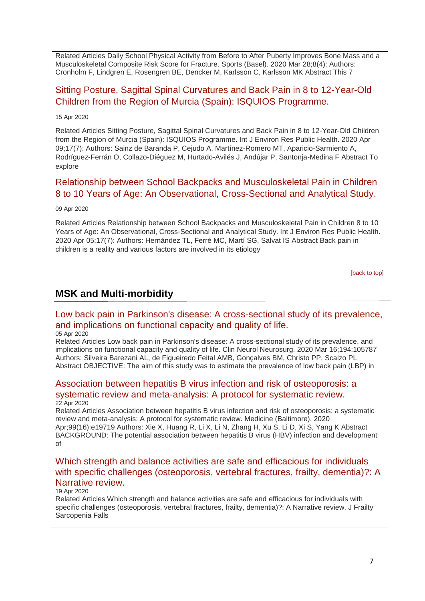Related Articles Daily School Physical Activity from Before to After Puberty Improves Bone Mass and a Musculoskeletal Composite Risk Score for Fracture. Sports (Basel). 2020 Mar 28;8(4): Authors: Cronholm F, Lindgren E, Rosengren BE, Dencker M, Karlsson C, Karlsson MK Abstract This 7

## [Sitting Posture, Sagittal Spinal Curvatures and Back Pain in 8 to 12-Year-Old](http://transit.linexsystems.com/track/click/30370861/ca.linexsystems.com?p=eyJzIjoiejhHMUVsTGtXZFBUalN1Z0loRTBWWGJCSnNvIiwidiI6MSwicCI6IntcInVcIjozMDM3MDg2MSxcInZcIjoxLFwidXJsXCI6XCJodHRwOlxcXC9cXFwvY2EubGluZXhzeXN0ZW1zLmNvbVxcXC9jb250ZW50c1xcXC90cmFuc2l0XFxcLzM2OTE3MzQxOTU_dXNlcl9pZD00NDM1MTUmbG9nPTc5Y2ZhYjYyNGM2ZjAyMDU3MTQ2YzFjZGFkZmYyZWRmJnA9OTQxNDM1MjUmbT0xJmM9MzUyOTEwOTMyNSZvcmdfaWQ9MTc0ODFcIixcImlkXCI6XCI5ZDE5NTllOTFlY2Y0ZTYzOTNiYjJkMzE1MGE3ZDFhMVwiLFwidXJsX2lkc1wiOltcIjA1ZTliM2YxZjk4OTA1NGZlM2JjODI0YWQ4ZmExYjhmMWYyMzVkMTNcIl19In0)  [Children from the Region of Murcia \(Spain\): ISQUIOS Programme.](http://transit.linexsystems.com/track/click/30370861/ca.linexsystems.com?p=eyJzIjoiejhHMUVsTGtXZFBUalN1Z0loRTBWWGJCSnNvIiwidiI6MSwicCI6IntcInVcIjozMDM3MDg2MSxcInZcIjoxLFwidXJsXCI6XCJodHRwOlxcXC9cXFwvY2EubGluZXhzeXN0ZW1zLmNvbVxcXC9jb250ZW50c1xcXC90cmFuc2l0XFxcLzM2OTE3MzQxOTU_dXNlcl9pZD00NDM1MTUmbG9nPTc5Y2ZhYjYyNGM2ZjAyMDU3MTQ2YzFjZGFkZmYyZWRmJnA9OTQxNDM1MjUmbT0xJmM9MzUyOTEwOTMyNSZvcmdfaWQ9MTc0ODFcIixcImlkXCI6XCI5ZDE5NTllOTFlY2Y0ZTYzOTNiYjJkMzE1MGE3ZDFhMVwiLFwidXJsX2lkc1wiOltcIjA1ZTliM2YxZjk4OTA1NGZlM2JjODI0YWQ4ZmExYjhmMWYyMzVkMTNcIl19In0)

#### 15 Apr 2020

Related Articles Sitting Posture, Sagittal Spinal Curvatures and Back Pain in 8 to 12-Year-Old Children from the Region of Murcia (Spain): ISQUIOS Programme. Int J Environ Res Public Health. 2020 Apr 09;17(7): Authors: Sainz de Baranda P, Cejudo A, Martínez-Romero MT, Aparicio-Sarmiento A, Rodríguez-Ferrán O, Collazo-Diéguez M, Hurtado-Avilés J, Andújar P, Santonja-Medina F Abstract To explore

## [Relationship between School Backpacks and Musculoskeletal Pain in Children](http://transit.linexsystems.com/track/click/30370861/ca.linexsystems.com?p=eyJzIjoieGRJbU5INExkUDhYNkpuWWpHY01ocTRYdFhnIiwidiI6MSwicCI6IntcInVcIjozMDM3MDg2MSxcInZcIjoxLFwidXJsXCI6XCJodHRwOlxcXC9cXFwvY2EubGluZXhzeXN0ZW1zLmNvbVxcXC9jb250ZW50c1xcXC90cmFuc2l0XFxcLzM2ODYzNTAwMDU_dXNlcl9pZD00NDM1MTUmbG9nPTc5Y2ZhYjYyNGM2ZjAyMDU3MTQ2YzFjZGFkZmYyZWRmJnA9OTQxNDM1MjUmbT0xJmM9MzUyOTEwOTMyNSZvcmdfaWQ9MTc0ODFcIixcImlkXCI6XCI5ZDE5NTllOTFlY2Y0ZTYzOTNiYjJkMzE1MGE3ZDFhMVwiLFwidXJsX2lkc1wiOltcIjA1ZTliM2YxZjk4OTA1NGZlM2JjODI0YWQ4ZmExYjhmMWYyMzVkMTNcIl19In0)  [8 to 10 Years of Age: An Observational, Cross-Sectional and Analytical Study.](http://transit.linexsystems.com/track/click/30370861/ca.linexsystems.com?p=eyJzIjoieGRJbU5INExkUDhYNkpuWWpHY01ocTRYdFhnIiwidiI6MSwicCI6IntcInVcIjozMDM3MDg2MSxcInZcIjoxLFwidXJsXCI6XCJodHRwOlxcXC9cXFwvY2EubGluZXhzeXN0ZW1zLmNvbVxcXC9jb250ZW50c1xcXC90cmFuc2l0XFxcLzM2ODYzNTAwMDU_dXNlcl9pZD00NDM1MTUmbG9nPTc5Y2ZhYjYyNGM2ZjAyMDU3MTQ2YzFjZGFkZmYyZWRmJnA9OTQxNDM1MjUmbT0xJmM9MzUyOTEwOTMyNSZvcmdfaWQ9MTc0ODFcIixcImlkXCI6XCI5ZDE5NTllOTFlY2Y0ZTYzOTNiYjJkMzE1MGE3ZDFhMVwiLFwidXJsX2lkc1wiOltcIjA1ZTliM2YxZjk4OTA1NGZlM2JjODI0YWQ4ZmExYjhmMWYyMzVkMTNcIl19In0)

#### 09 Apr 2020

Related Articles Relationship between School Backpacks and Musculoskeletal Pain in Children 8 to 10 Years of Age: An Observational, Cross-Sectional and Analytical Study. Int J Environ Res Public Health. 2020 Apr 05;17(7): Authors: Hernández TL, Ferré MC, Martí SG, Salvat IS Abstract Back pain in children is a reality and various factors are involved in its etiology

[\[back to top\]](#page-0-1)

# <span id="page-6-0"></span>**MSK and Multi-morbidity**

# [Low back pain in Parkinson's disease: A cross-sectional study of its prevalence,](http://transit.linexsystems.com/track/click/30370861/ca.linexsystems.com?p=eyJzIjoieW1hTWVmQ0hMVWlrZjRWM1VMaWdMdDJERlNFIiwidiI6MSwicCI6IntcInVcIjozMDM3MDg2MSxcInZcIjoxLFwidXJsXCI6XCJodHRwOlxcXC9cXFwvY2EubGluZXhzeXN0ZW1zLmNvbVxcXC9jb250ZW50c1xcXC90cmFuc2l0XFxcLzM2ODE0MzA0MDU_dXNlcl9pZD00NDM1MTUmbG9nPTc5Y2ZhYjYyNGM2ZjAyMDU3MTQ2YzFjZGFkZmYyZWRmJnA9OTQxNDM1MjUmbT0xJmM9MzUyOTEwODUyNSZvcmdfaWQ9MTc0ODFcIixcImlkXCI6XCI5ZDE5NTllOTFlY2Y0ZTYzOTNiYjJkMzE1MGE3ZDFhMVwiLFwidXJsX2lkc1wiOltcIjA1ZTliM2YxZjk4OTA1NGZlM2JjODI0YWQ4ZmExYjhmMWYyMzVkMTNcIl19In0)  [and implications on functional capacity and quality of life.](http://transit.linexsystems.com/track/click/30370861/ca.linexsystems.com?p=eyJzIjoieW1hTWVmQ0hMVWlrZjRWM1VMaWdMdDJERlNFIiwidiI6MSwicCI6IntcInVcIjozMDM3MDg2MSxcInZcIjoxLFwidXJsXCI6XCJodHRwOlxcXC9cXFwvY2EubGluZXhzeXN0ZW1zLmNvbVxcXC9jb250ZW50c1xcXC90cmFuc2l0XFxcLzM2ODE0MzA0MDU_dXNlcl9pZD00NDM1MTUmbG9nPTc5Y2ZhYjYyNGM2ZjAyMDU3MTQ2YzFjZGFkZmYyZWRmJnA9OTQxNDM1MjUmbT0xJmM9MzUyOTEwODUyNSZvcmdfaWQ9MTc0ODFcIixcImlkXCI6XCI5ZDE5NTllOTFlY2Y0ZTYzOTNiYjJkMzE1MGE3ZDFhMVwiLFwidXJsX2lkc1wiOltcIjA1ZTliM2YxZjk4OTA1NGZlM2JjODI0YWQ4ZmExYjhmMWYyMzVkMTNcIl19In0)

#### 05 Apr 2020

Related Articles Low back pain in Parkinson's disease: A cross-sectional study of its prevalence, and implications on functional capacity and quality of life. Clin Neurol Neurosurg. 2020 Mar 16;194:105787 Authors: Silveira Barezani AL, de Figueiredo Feital AMB, Gonçalves BM, Christo PP, Scalzo PL Abstract OBJECTIVE: The aim of this study was to estimate the prevalence of low back pain (LBP) in

#### [Association between hepatitis B virus infection and risk of osteoporosis: a](http://transit.linexsystems.com/track/click/30370861/ca.linexsystems.com?p=eyJzIjoieDVEcjFmOGhsWHBlQUtaM2p4Mk13c2ZldlVVIiwidiI6MSwicCI6IntcInVcIjozMDM3MDg2MSxcInZcIjoxLFwidXJsXCI6XCJodHRwOlxcXC9cXFwvY2EubGluZXhzeXN0ZW1zLmNvbVxcXC9jb250ZW50c1xcXC90cmFuc2l0XFxcLzM2OTkyMjI3OTU_dXNlcl9pZD00NDM1MTUmbG9nPTc5Y2ZhYjYyNGM2ZjAyMDU3MTQ2YzFjZGFkZmYyZWRmJnA9OTQxNDM1MjUmbT0xJmM9MzUyOTEwODkxNSZvcmdfaWQ9MTc0ODFcIixcImlkXCI6XCI5ZDE5NTllOTFlY2Y0ZTYzOTNiYjJkMzE1MGE3ZDFhMVwiLFwidXJsX2lkc1wiOltcIjA1ZTliM2YxZjk4OTA1NGZlM2JjODI0YWQ4ZmExYjhmMWYyMzVkMTNcIl19In0)  [systematic review and meta-analysis: A protocol for systematic review.](http://transit.linexsystems.com/track/click/30370861/ca.linexsystems.com?p=eyJzIjoieDVEcjFmOGhsWHBlQUtaM2p4Mk13c2ZldlVVIiwidiI6MSwicCI6IntcInVcIjozMDM3MDg2MSxcInZcIjoxLFwidXJsXCI6XCJodHRwOlxcXC9cXFwvY2EubGluZXhzeXN0ZW1zLmNvbVxcXC9jb250ZW50c1xcXC90cmFuc2l0XFxcLzM2OTkyMjI3OTU_dXNlcl9pZD00NDM1MTUmbG9nPTc5Y2ZhYjYyNGM2ZjAyMDU3MTQ2YzFjZGFkZmYyZWRmJnA9OTQxNDM1MjUmbT0xJmM9MzUyOTEwODkxNSZvcmdfaWQ9MTc0ODFcIixcImlkXCI6XCI5ZDE5NTllOTFlY2Y0ZTYzOTNiYjJkMzE1MGE3ZDFhMVwiLFwidXJsX2lkc1wiOltcIjA1ZTliM2YxZjk4OTA1NGZlM2JjODI0YWQ4ZmExYjhmMWYyMzVkMTNcIl19In0) 22 Apr 2020

Related Articles Association between hepatitis B virus infection and risk of osteoporosis: a systematic review and meta-analysis: A protocol for systematic review. Medicine (Baltimore). 2020 Apr;99(16):e19719 Authors: Xie X, Huang R, Li X, Li N, Zhang H, Xu S, Li D, Xi S, Yang K Abstract BACKGROUND: The potential association between hepatitis B virus (HBV) infection and development of

### Which [strength and balance activities are safe and efficacious for individuals](http://transit.linexsystems.com/track/click/30370861/ca.linexsystems.com?p=eyJzIjoicXFxRXZubHoza1ZQVVdZQ2p2UUw3dHo1YklvIiwidiI6MSwicCI6IntcInVcIjozMDM3MDg2MSxcInZcIjoxLFwidXJsXCI6XCJodHRwOlxcXC9cXFwvY2EubGluZXhzeXN0ZW1zLmNvbVxcXC9jb250ZW50c1xcXC90cmFuc2l0XFxcLzM2OTU3NDk0NDU_dXNlcl9pZD00NDM1MTUmbG9nPTc5Y2ZhYjYyNGM2ZjAyMDU3MTQ2YzFjZGFkZmYyZWRmJnA9OTQxNDM1MjUmbT0xJmM9MzUyOTEwODUyNSZvcmdfaWQ9MTc0ODFcIixcImlkXCI6XCI5ZDE5NTllOTFlY2Y0ZTYzOTNiYjJkMzE1MGE3ZDFhMVwiLFwidXJsX2lkc1wiOltcIjA1ZTliM2YxZjk4OTA1NGZlM2JjODI0YWQ4ZmExYjhmMWYyMzVkMTNcIl19In0)  [with specific challenges \(osteoporosis, vertebral fractures, frailty, dementia\)?: A](http://transit.linexsystems.com/track/click/30370861/ca.linexsystems.com?p=eyJzIjoicXFxRXZubHoza1ZQVVdZQ2p2UUw3dHo1YklvIiwidiI6MSwicCI6IntcInVcIjozMDM3MDg2MSxcInZcIjoxLFwidXJsXCI6XCJodHRwOlxcXC9cXFwvY2EubGluZXhzeXN0ZW1zLmNvbVxcXC9jb250ZW50c1xcXC90cmFuc2l0XFxcLzM2OTU3NDk0NDU_dXNlcl9pZD00NDM1MTUmbG9nPTc5Y2ZhYjYyNGM2ZjAyMDU3MTQ2YzFjZGFkZmYyZWRmJnA9OTQxNDM1MjUmbT0xJmM9MzUyOTEwODUyNSZvcmdfaWQ9MTc0ODFcIixcImlkXCI6XCI5ZDE5NTllOTFlY2Y0ZTYzOTNiYjJkMzE1MGE3ZDFhMVwiLFwidXJsX2lkc1wiOltcIjA1ZTliM2YxZjk4OTA1NGZlM2JjODI0YWQ4ZmExYjhmMWYyMzVkMTNcIl19In0)  [Narrative review.](http://transit.linexsystems.com/track/click/30370861/ca.linexsystems.com?p=eyJzIjoicXFxRXZubHoza1ZQVVdZQ2p2UUw3dHo1YklvIiwidiI6MSwicCI6IntcInVcIjozMDM3MDg2MSxcInZcIjoxLFwidXJsXCI6XCJodHRwOlxcXC9cXFwvY2EubGluZXhzeXN0ZW1zLmNvbVxcXC9jb250ZW50c1xcXC90cmFuc2l0XFxcLzM2OTU3NDk0NDU_dXNlcl9pZD00NDM1MTUmbG9nPTc5Y2ZhYjYyNGM2ZjAyMDU3MTQ2YzFjZGFkZmYyZWRmJnA9OTQxNDM1MjUmbT0xJmM9MzUyOTEwODUyNSZvcmdfaWQ9MTc0ODFcIixcImlkXCI6XCI5ZDE5NTllOTFlY2Y0ZTYzOTNiYjJkMzE1MGE3ZDFhMVwiLFwidXJsX2lkc1wiOltcIjA1ZTliM2YxZjk4OTA1NGZlM2JjODI0YWQ4ZmExYjhmMWYyMzVkMTNcIl19In0)

#### 19 Apr 2020

Related Articles Which strength and balance activities are safe and efficacious for individuals with specific challenges (osteoporosis, vertebral fractures, frailty, dementia)?: A Narrative review. J Frailty Sarcopenia Falls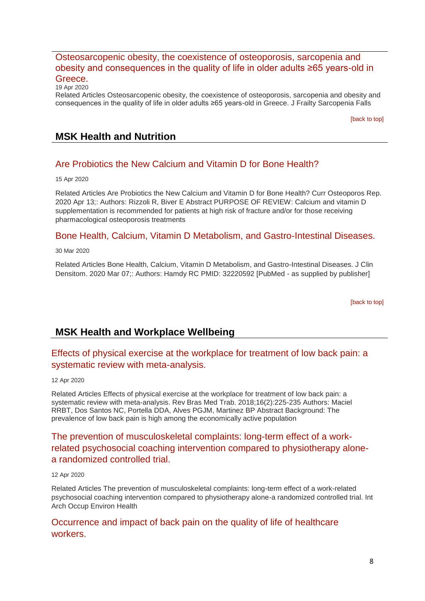## [Osteosarcopenic obesity, the coexistence of osteoporosis, sarcopenia and](http://transit.linexsystems.com/track/click/30370861/ca.linexsystems.com?p=eyJzIjoiZUJCeF8zM1ByWnk1WEo1X0N5UnhLVjF1cTUwIiwidiI6MSwicCI6IntcInVcIjozMDM3MDg2MSxcInZcIjoxLFwidXJsXCI6XCJodHRwOlxcXC9cXFwvY2EubGluZXhzeXN0ZW1zLmNvbVxcXC9jb250ZW50c1xcXC90cmFuc2l0XFxcLzM2OTU1MTU1MDU_dXNlcl9pZD00NDM1MTUmbG9nPTc5Y2ZhYjYyNGM2ZjAyMDU3MTQ2YzFjZGFkZmYyZWRmJnA9OTQxNDM1MjUmbT0xJmM9MzUyOTEwODUyNSZvcmdfaWQ9MTc0ODFcIixcImlkXCI6XCI5ZDE5NTllOTFlY2Y0ZTYzOTNiYjJkMzE1MGE3ZDFhMVwiLFwidXJsX2lkc1wiOltcIjA1ZTliM2YxZjk4OTA1NGZlM2JjODI0YWQ4ZmExYjhmMWYyMzVkMTNcIl19In0)  [obesity and consequences in the quality of life in older adults ≥65 years-old in](http://transit.linexsystems.com/track/click/30370861/ca.linexsystems.com?p=eyJzIjoiZUJCeF8zM1ByWnk1WEo1X0N5UnhLVjF1cTUwIiwidiI6MSwicCI6IntcInVcIjozMDM3MDg2MSxcInZcIjoxLFwidXJsXCI6XCJodHRwOlxcXC9cXFwvY2EubGluZXhzeXN0ZW1zLmNvbVxcXC9jb250ZW50c1xcXC90cmFuc2l0XFxcLzM2OTU1MTU1MDU_dXNlcl9pZD00NDM1MTUmbG9nPTc5Y2ZhYjYyNGM2ZjAyMDU3MTQ2YzFjZGFkZmYyZWRmJnA9OTQxNDM1MjUmbT0xJmM9MzUyOTEwODUyNSZvcmdfaWQ9MTc0ODFcIixcImlkXCI6XCI5ZDE5NTllOTFlY2Y0ZTYzOTNiYjJkMzE1MGE3ZDFhMVwiLFwidXJsX2lkc1wiOltcIjA1ZTliM2YxZjk4OTA1NGZlM2JjODI0YWQ4ZmExYjhmMWYyMzVkMTNcIl19In0)  [Greece.](http://transit.linexsystems.com/track/click/30370861/ca.linexsystems.com?p=eyJzIjoiZUJCeF8zM1ByWnk1WEo1X0N5UnhLVjF1cTUwIiwidiI6MSwicCI6IntcInVcIjozMDM3MDg2MSxcInZcIjoxLFwidXJsXCI6XCJodHRwOlxcXC9cXFwvY2EubGluZXhzeXN0ZW1zLmNvbVxcXC9jb250ZW50c1xcXC90cmFuc2l0XFxcLzM2OTU1MTU1MDU_dXNlcl9pZD00NDM1MTUmbG9nPTc5Y2ZhYjYyNGM2ZjAyMDU3MTQ2YzFjZGFkZmYyZWRmJnA9OTQxNDM1MjUmbT0xJmM9MzUyOTEwODUyNSZvcmdfaWQ9MTc0ODFcIixcImlkXCI6XCI5ZDE5NTllOTFlY2Y0ZTYzOTNiYjJkMzE1MGE3ZDFhMVwiLFwidXJsX2lkc1wiOltcIjA1ZTliM2YxZjk4OTA1NGZlM2JjODI0YWQ4ZmExYjhmMWYyMzVkMTNcIl19In0)

19 Apr 2020

Related Articles Osteosarcopenic obesity, the coexistence of osteoporosis, sarcopenia and obesity and consequences in the quality of life in older adults ≥65 years-old in Greece. J Frailty Sarcopenia Falls

[\[back to top\]](#page-0-1)

# **MSK Health and Nutrition**

### [Are Probiotics the New Calcium and Vitamin D for Bone Health?](http://transit.linexsystems.com/track/click/30370861/ca.linexsystems.com?p=eyJzIjoiUE1tQzlvV2pCNDlvODZWby1qR2hqNGNpZ3ZnIiwidiI6MSwicCI6IntcInVcIjozMDM3MDg2MSxcInZcIjoxLFwidXJsXCI6XCJodHRwOlxcXC9cXFwvY2EubGluZXhzeXN0ZW1zLmNvbVxcXC9jb250ZW50c1xcXC90cmFuc2l0XFxcLzM2OTE2NzEwNzU_dXNlcl9pZD00NDM1MTUmbG9nPTc5Y2ZhYjYyNGM2ZjAyMDU3MTQ2YzFjZGFkZmYyZWRmJnA9OTQxNDM1MjUmbT0xJmM9MzUyOTExMDAyNSZvcmdfaWQ9MTc0ODFcIixcImlkXCI6XCI5ZDE5NTllOTFlY2Y0ZTYzOTNiYjJkMzE1MGE3ZDFhMVwiLFwidXJsX2lkc1wiOltcIjA1ZTliM2YxZjk4OTA1NGZlM2JjODI0YWQ4ZmExYjhmMWYyMzVkMTNcIl19In0)

15 Apr 2020

Related Articles Are Probiotics the New Calcium and Vitamin D for Bone Health? Curr Osteoporos Rep. 2020 Apr 13;: Authors: Rizzoli R, Biver E Abstract PURPOSE OF REVIEW: Calcium and vitamin D supplementation is recommended for patients at high risk of fracture and/or for those receiving pharmacological osteoporosis treatments

### [Bone Health, Calcium, Vitamin D Metabolism, and Gastro-Intestinal Diseases.](http://transit.linexsystems.com/track/click/30370861/ca.linexsystems.com?p=eyJzIjoienZyTTlraVJzcW9zdXVJYXM2bkhXa2ZibVhBIiwidiI6MSwicCI6IntcInVcIjozMDM3MDg2MSxcInZcIjoxLFwidXJsXCI6XCJodHRwOlxcXC9cXFwvY2EubGluZXhzeXN0ZW1zLmNvbVxcXC9jb250ZW50c1xcXC90cmFuc2l0XFxcLzM2NzQ5OTIyOTU_dXNlcl9pZD00NDM1MTUmbG9nPTc5Y2ZhYjYyNGM2ZjAyMDU3MTQ2YzFjZGFkZmYyZWRmJnA9OTQxNDM1MjUmbT0xJmM9MzUyOTExMDAyNSZvcmdfaWQ9MTc0ODFcIixcImlkXCI6XCI5ZDE5NTllOTFlY2Y0ZTYzOTNiYjJkMzE1MGE3ZDFhMVwiLFwidXJsX2lkc1wiOltcIjA1ZTliM2YxZjk4OTA1NGZlM2JjODI0YWQ4ZmExYjhmMWYyMzVkMTNcIl19In0)

30 Mar 2020

Related Articles Bone Health, Calcium, Vitamin D Metabolism, and Gastro-Intestinal Diseases. J Clin Densitom. 2020 Mar 07;: Authors: Hamdy RC PMID: 32220592 [PubMed - as supplied by publisher]

[\[back to top\]](#page-0-1)

# <span id="page-7-0"></span>**MSK Health and Workplace Wellbeing**

## [Effects of physical exercise at the workplace for treatment of low back pain: a](http://transit.linexsystems.com/track/click/30370861/ca.linexsystems.com?p=eyJzIjoiT3QyTlFON2hCVjQzM19FT0xFNzFxWHR6YTRnIiwidiI6MSwicCI6IntcInVcIjozMDM3MDg2MSxcInZcIjoxLFwidXJsXCI6XCJodHRwOlxcXC9cXFwvY2EubGluZXhzeXN0ZW1zLmNvbVxcXC9jb250ZW50c1xcXC90cmFuc2l0XFxcLzM2ODg1MTI5NDU_dXNlcl9pZD00NDM1MTUmbG9nPTc5Y2ZhYjYyNGM2ZjAyMDU3MTQ2YzFjZGFkZmYyZWRmJnA9OTQxNDM1MjUmbT0xJmM9MzUyOTEwODUyNSZvcmdfaWQ9MTc0ODFcIixcImlkXCI6XCI5ZDE5NTllOTFlY2Y0ZTYzOTNiYjJkMzE1MGE3ZDFhMVwiLFwidXJsX2lkc1wiOltcIjA1ZTliM2YxZjk4OTA1NGZlM2JjODI0YWQ4ZmExYjhmMWYyMzVkMTNcIl19In0)  [systematic review with meta-analysis.](http://transit.linexsystems.com/track/click/30370861/ca.linexsystems.com?p=eyJzIjoiT3QyTlFON2hCVjQzM19FT0xFNzFxWHR6YTRnIiwidiI6MSwicCI6IntcInVcIjozMDM3MDg2MSxcInZcIjoxLFwidXJsXCI6XCJodHRwOlxcXC9cXFwvY2EubGluZXhzeXN0ZW1zLmNvbVxcXC9jb250ZW50c1xcXC90cmFuc2l0XFxcLzM2ODg1MTI5NDU_dXNlcl9pZD00NDM1MTUmbG9nPTc5Y2ZhYjYyNGM2ZjAyMDU3MTQ2YzFjZGFkZmYyZWRmJnA9OTQxNDM1MjUmbT0xJmM9MzUyOTEwODUyNSZvcmdfaWQ9MTc0ODFcIixcImlkXCI6XCI5ZDE5NTllOTFlY2Y0ZTYzOTNiYjJkMzE1MGE3ZDFhMVwiLFwidXJsX2lkc1wiOltcIjA1ZTliM2YxZjk4OTA1NGZlM2JjODI0YWQ4ZmExYjhmMWYyMzVkMTNcIl19In0)

12 Apr 2020

Related Articles Effects of physical exercise at the workplace for treatment of low back pain: a systematic review with meta-analysis. Rev Bras Med Trab. 2018;16(2):225-235 Authors: Maciel RRBT, Dos Santos NC, Portella DDA, Alves PGJM, Martinez BP Abstract Background: The prevalence of low back pain is high among the economically active population

## [The prevention of musculoskeletal complaints: long-term effect of a work](http://transit.linexsystems.com/track/click/30370861/ca.linexsystems.com?p=eyJzIjoiVjhWNGJ3dkRIYW9TSG01OGU2U3kxa1dSV1VJIiwidiI6MSwicCI6IntcInVcIjozMDM3MDg2MSxcInZcIjoxLFwidXJsXCI6XCJodHRwOlxcXC9cXFwvY2EubGluZXhzeXN0ZW1zLmNvbVxcXC9jb250ZW50c1xcXC90cmFuc2l0XFxcLzM2ODg1MTMzMzU_dXNlcl9pZD00NDM1MTUmbG9nPTc5Y2ZhYjYyNGM2ZjAyMDU3MTQ2YzFjZGFkZmYyZWRmJnA9OTQxNDM1MjUmbT0xJmM9MzUyOTEwODUyNSZvcmdfaWQ9MTc0ODFcIixcImlkXCI6XCI5ZDE5NTllOTFlY2Y0ZTYzOTNiYjJkMzE1MGE3ZDFhMVwiLFwidXJsX2lkc1wiOltcIjA1ZTliM2YxZjk4OTA1NGZlM2JjODI0YWQ4ZmExYjhmMWYyMzVkMTNcIl19In0)[related psychosocial coaching intervention compared to physiotherapy alone](http://transit.linexsystems.com/track/click/30370861/ca.linexsystems.com?p=eyJzIjoiVjhWNGJ3dkRIYW9TSG01OGU2U3kxa1dSV1VJIiwidiI6MSwicCI6IntcInVcIjozMDM3MDg2MSxcInZcIjoxLFwidXJsXCI6XCJodHRwOlxcXC9cXFwvY2EubGluZXhzeXN0ZW1zLmNvbVxcXC9jb250ZW50c1xcXC90cmFuc2l0XFxcLzM2ODg1MTMzMzU_dXNlcl9pZD00NDM1MTUmbG9nPTc5Y2ZhYjYyNGM2ZjAyMDU3MTQ2YzFjZGFkZmYyZWRmJnA9OTQxNDM1MjUmbT0xJmM9MzUyOTEwODUyNSZvcmdfaWQ9MTc0ODFcIixcImlkXCI6XCI5ZDE5NTllOTFlY2Y0ZTYzOTNiYjJkMzE1MGE3ZDFhMVwiLFwidXJsX2lkc1wiOltcIjA1ZTliM2YxZjk4OTA1NGZlM2JjODI0YWQ4ZmExYjhmMWYyMzVkMTNcIl19In0)[a randomized controlled](http://transit.linexsystems.com/track/click/30370861/ca.linexsystems.com?p=eyJzIjoiVjhWNGJ3dkRIYW9TSG01OGU2U3kxa1dSV1VJIiwidiI6MSwicCI6IntcInVcIjozMDM3MDg2MSxcInZcIjoxLFwidXJsXCI6XCJodHRwOlxcXC9cXFwvY2EubGluZXhzeXN0ZW1zLmNvbVxcXC9jb250ZW50c1xcXC90cmFuc2l0XFxcLzM2ODg1MTMzMzU_dXNlcl9pZD00NDM1MTUmbG9nPTc5Y2ZhYjYyNGM2ZjAyMDU3MTQ2YzFjZGFkZmYyZWRmJnA9OTQxNDM1MjUmbT0xJmM9MzUyOTEwODUyNSZvcmdfaWQ9MTc0ODFcIixcImlkXCI6XCI5ZDE5NTllOTFlY2Y0ZTYzOTNiYjJkMzE1MGE3ZDFhMVwiLFwidXJsX2lkc1wiOltcIjA1ZTliM2YxZjk4OTA1NGZlM2JjODI0YWQ4ZmExYjhmMWYyMzVkMTNcIl19In0) trial.

#### 12 Apr 2020

Related Articles The prevention of musculoskeletal complaints: long-term effect of a work-related psychosocial coaching intervention compared to physiotherapy alone-a randomized controlled trial. Int Arch Occup Environ Health

### [Occurrence and impact of back pain on the quality of life of healthcare](http://transit.linexsystems.com/track/click/30370861/ca.linexsystems.com?p=eyJzIjoiZUw3U01mOUpDSlRBVlNfYy1rMVRaRldJTEtZIiwidiI6MSwicCI6IntcInVcIjozMDM3MDg2MSxcInZcIjoxLFwidXJsXCI6XCJodHRwOlxcXC9cXFwvY2EubGluZXhzeXN0ZW1zLmNvbVxcXC9jb250ZW50c1xcXC90cmFuc2l0XFxcLzM2NzMyMjY1MjU_dXNlcl9pZD00NDM1MTUmbG9nPTc5Y2ZhYjYyNGM2ZjAyMDU3MTQ2YzFjZGFkZmYyZWRmJnA9OTQxNDM1MjUmbT0xJmM9MzUyOTEwODUyNSZvcmdfaWQ9MTc0ODFcIixcImlkXCI6XCI5ZDE5NTllOTFlY2Y0ZTYzOTNiYjJkMzE1MGE3ZDFhMVwiLFwidXJsX2lkc1wiOltcIjA1ZTliM2YxZjk4OTA1NGZlM2JjODI0YWQ4ZmExYjhmMWYyMzVkMTNcIl19In0)  [workers.](http://transit.linexsystems.com/track/click/30370861/ca.linexsystems.com?p=eyJzIjoiZUw3U01mOUpDSlRBVlNfYy1rMVRaRldJTEtZIiwidiI6MSwicCI6IntcInVcIjozMDM3MDg2MSxcInZcIjoxLFwidXJsXCI6XCJodHRwOlxcXC9cXFwvY2EubGluZXhzeXN0ZW1zLmNvbVxcXC9jb250ZW50c1xcXC90cmFuc2l0XFxcLzM2NzMyMjY1MjU_dXNlcl9pZD00NDM1MTUmbG9nPTc5Y2ZhYjYyNGM2ZjAyMDU3MTQ2YzFjZGFkZmYyZWRmJnA9OTQxNDM1MjUmbT0xJmM9MzUyOTEwODUyNSZvcmdfaWQ9MTc0ODFcIixcImlkXCI6XCI5ZDE5NTllOTFlY2Y0ZTYzOTNiYjJkMzE1MGE3ZDFhMVwiLFwidXJsX2lkc1wiOltcIjA1ZTliM2YxZjk4OTA1NGZlM2JjODI0YWQ4ZmExYjhmMWYyMzVkMTNcIl19In0)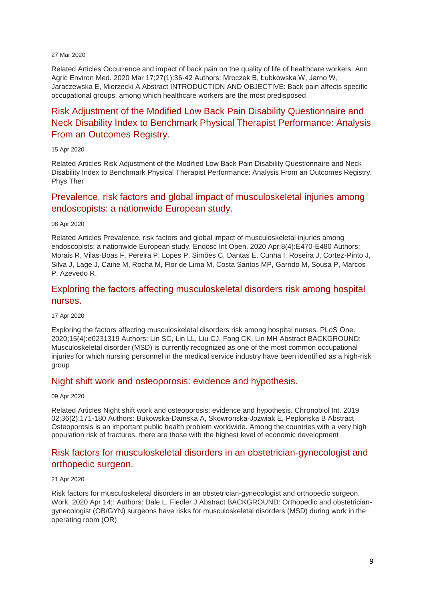#### 27 Mar 2020

Related Articles Occurrence and impact of back pain on the quality of life of healthcare workers. Ann Agric Environ Med. 2020 Mar 17;27(1):36-42 Authors: Mroczek B, Łubkowska W, Jarno W, Jaraczewska E, Mierzecki A Abstract INTRODUCTION AND OBJECTIVE: Back pain affects specific occupational groups, among which healthcare workers are the most predisposed

# [Risk Adjustment of the Modified Low Back Pain Disability Questionnaire and](http://transit.linexsystems.com/track/click/30370861/ca.linexsystems.com?p=eyJzIjoiMmxXRnhDX0d3RU9fZGJWNk1QTGpvTVRIQjVNIiwidiI6MSwicCI6IntcInVcIjozMDM3MDg2MSxcInZcIjoxLFwidXJsXCI6XCJodHRwOlxcXC9cXFwvY2EubGluZXhzeXN0ZW1zLmNvbVxcXC9jb250ZW50c1xcXC90cmFuc2l0XFxcLzM2OTE2NzgyMjU_dXNlcl9pZD00NDM1MTUmbG9nPTc5Y2ZhYjYyNGM2ZjAyMDU3MTQ2YzFjZGFkZmYyZWRmJnA9OTQxNDM1MjUmbT0xJmM9MzUyOTEwODUyNSZvcmdfaWQ9MTc0ODFcIixcImlkXCI6XCI5ZDE5NTllOTFlY2Y0ZTYzOTNiYjJkMzE1MGE3ZDFhMVwiLFwidXJsX2lkc1wiOltcIjA1ZTliM2YxZjk4OTA1NGZlM2JjODI0YWQ4ZmExYjhmMWYyMzVkMTNcIl19In0)  [Neck Disability Index to Benchmark Physical Therapist Performance: Analysis](http://transit.linexsystems.com/track/click/30370861/ca.linexsystems.com?p=eyJzIjoiMmxXRnhDX0d3RU9fZGJWNk1QTGpvTVRIQjVNIiwidiI6MSwicCI6IntcInVcIjozMDM3MDg2MSxcInZcIjoxLFwidXJsXCI6XCJodHRwOlxcXC9cXFwvY2EubGluZXhzeXN0ZW1zLmNvbVxcXC9jb250ZW50c1xcXC90cmFuc2l0XFxcLzM2OTE2NzgyMjU_dXNlcl9pZD00NDM1MTUmbG9nPTc5Y2ZhYjYyNGM2ZjAyMDU3MTQ2YzFjZGFkZmYyZWRmJnA9OTQxNDM1MjUmbT0xJmM9MzUyOTEwODUyNSZvcmdfaWQ9MTc0ODFcIixcImlkXCI6XCI5ZDE5NTllOTFlY2Y0ZTYzOTNiYjJkMzE1MGE3ZDFhMVwiLFwidXJsX2lkc1wiOltcIjA1ZTliM2YxZjk4OTA1NGZlM2JjODI0YWQ4ZmExYjhmMWYyMzVkMTNcIl19In0)  [From an Outcomes Registry.](http://transit.linexsystems.com/track/click/30370861/ca.linexsystems.com?p=eyJzIjoiMmxXRnhDX0d3RU9fZGJWNk1QTGpvTVRIQjVNIiwidiI6MSwicCI6IntcInVcIjozMDM3MDg2MSxcInZcIjoxLFwidXJsXCI6XCJodHRwOlxcXC9cXFwvY2EubGluZXhzeXN0ZW1zLmNvbVxcXC9jb250ZW50c1xcXC90cmFuc2l0XFxcLzM2OTE2NzgyMjU_dXNlcl9pZD00NDM1MTUmbG9nPTc5Y2ZhYjYyNGM2ZjAyMDU3MTQ2YzFjZGFkZmYyZWRmJnA9OTQxNDM1MjUmbT0xJmM9MzUyOTEwODUyNSZvcmdfaWQ9MTc0ODFcIixcImlkXCI6XCI5ZDE5NTllOTFlY2Y0ZTYzOTNiYjJkMzE1MGE3ZDFhMVwiLFwidXJsX2lkc1wiOltcIjA1ZTliM2YxZjk4OTA1NGZlM2JjODI0YWQ4ZmExYjhmMWYyMzVkMTNcIl19In0)

#### 15 Apr 2020

Related Articles Risk Adjustment of the Modified Low Back Pain Disability Questionnaire and Neck Disability Index to Benchmark Physical Therapist Performance: Analysis From an Outcomes Registry. Phys Ther

## [Prevalence, risk factors and global impact of musculoskeletal injuries among](http://transit.linexsystems.com/track/click/30370861/ca.linexsystems.com?p=eyJzIjoiUnREb2ZzMzN4dDVoTVZWOGtFNEwtb1ZENDZnIiwidiI6MSwicCI6IntcInVcIjozMDM3MDg2MSxcInZcIjoxLFwidXJsXCI6XCJodHRwOlxcXC9cXFwvY2EubGluZXhzeXN0ZW1zLmNvbVxcXC9jb250ZW50c1xcXC90cmFuc2l0XFxcLzM2ODUxMDI0OTU_dXNlcl9pZD00NDM1MTUmbG9nPTc5Y2ZhYjYyNGM2ZjAyMDU3MTQ2YzFjZGFkZmYyZWRmJnA9OTQxNDM1MjUmbT0xJmM9MzUyOTEwODkxNSZvcmdfaWQ9MTc0ODFcIixcImlkXCI6XCI5ZDE5NTllOTFlY2Y0ZTYzOTNiYjJkMzE1MGE3ZDFhMVwiLFwidXJsX2lkc1wiOltcIjA1ZTliM2YxZjk4OTA1NGZlM2JjODI0YWQ4ZmExYjhmMWYyMzVkMTNcIl19In0)  [endoscopists: a nationwide European study.](http://transit.linexsystems.com/track/click/30370861/ca.linexsystems.com?p=eyJzIjoiUnREb2ZzMzN4dDVoTVZWOGtFNEwtb1ZENDZnIiwidiI6MSwicCI6IntcInVcIjozMDM3MDg2MSxcInZcIjoxLFwidXJsXCI6XCJodHRwOlxcXC9cXFwvY2EubGluZXhzeXN0ZW1zLmNvbVxcXC9jb250ZW50c1xcXC90cmFuc2l0XFxcLzM2ODUxMDI0OTU_dXNlcl9pZD00NDM1MTUmbG9nPTc5Y2ZhYjYyNGM2ZjAyMDU3MTQ2YzFjZGFkZmYyZWRmJnA9OTQxNDM1MjUmbT0xJmM9MzUyOTEwODkxNSZvcmdfaWQ9MTc0ODFcIixcImlkXCI6XCI5ZDE5NTllOTFlY2Y0ZTYzOTNiYjJkMzE1MGE3ZDFhMVwiLFwidXJsX2lkc1wiOltcIjA1ZTliM2YxZjk4OTA1NGZlM2JjODI0YWQ4ZmExYjhmMWYyMzVkMTNcIl19In0)

#### 08 Apr 2020

Related Articles Prevalence, risk factors and global impact of musculoskeletal injuries among endoscopists: a nationwide European study. Endosc Int Open. 2020 Apr;8(4):E470-E480 Authors: Morais R, Vilas-Boas F, Pereira P, Lopes P, Simões C, Dantas E, Cunha I, Roseira J, Cortez-Pinto J, Silva J, Lage J, Caine M, Rocha M, Flor de Lima M, Costa Santos MP, Garrido M, Sousa P, Marcos P, Azevedo R,

### [Exploring the factors affecting musculoskeletal disorders risk among hospital](http://transit.linexsystems.com/track/click/30370861/ca.linexsystems.com?p=eyJzIjoiQ2Fjcjh6OEhfX3M5M1FyMi1HajBoOEF2RE40IiwidiI6MSwicCI6IntcInVcIjozMDM3MDg2MSxcInZcIjoxLFwidXJsXCI6XCJodHRwOlxcXC9cXFwvY2EubGluZXhzeXN0ZW1zLmNvbVxcXC9jb250ZW50c1xcXC90cmFuc2l0XFxcLzM2OTQyOTU0MzU_dXNlcl9pZD00NDM1MTUmbG9nPTc5Y2ZhYjYyNGM2ZjAyMDU3MTQ2YzFjZGFkZmYyZWRmJnA9OTQxNDM1MjUmbT0xJmM9MzUyOTEwODkxNSZvcmdfaWQ9MTc0ODFcIixcImlkXCI6XCI5ZDE5NTllOTFlY2Y0ZTYzOTNiYjJkMzE1MGE3ZDFhMVwiLFwidXJsX2lkc1wiOltcIjA1ZTliM2YxZjk4OTA1NGZlM2JjODI0YWQ4ZmExYjhmMWYyMzVkMTNcIl19In0)  [nurses.](http://transit.linexsystems.com/track/click/30370861/ca.linexsystems.com?p=eyJzIjoiQ2Fjcjh6OEhfX3M5M1FyMi1HajBoOEF2RE40IiwidiI6MSwicCI6IntcInVcIjozMDM3MDg2MSxcInZcIjoxLFwidXJsXCI6XCJodHRwOlxcXC9cXFwvY2EubGluZXhzeXN0ZW1zLmNvbVxcXC9jb250ZW50c1xcXC90cmFuc2l0XFxcLzM2OTQyOTU0MzU_dXNlcl9pZD00NDM1MTUmbG9nPTc5Y2ZhYjYyNGM2ZjAyMDU3MTQ2YzFjZGFkZmYyZWRmJnA9OTQxNDM1MjUmbT0xJmM9MzUyOTEwODkxNSZvcmdfaWQ9MTc0ODFcIixcImlkXCI6XCI5ZDE5NTllOTFlY2Y0ZTYzOTNiYjJkMzE1MGE3ZDFhMVwiLFwidXJsX2lkc1wiOltcIjA1ZTliM2YxZjk4OTA1NGZlM2JjODI0YWQ4ZmExYjhmMWYyMzVkMTNcIl19In0)

#### 17 Apr 2020

Exploring the factors affecting musculoskeletal disorders risk among hospital nurses. PLoS One. 2020;15(4):e0231319 Authors: Lin SC, Lin LL, Liu CJ, Fang CK, Lin MH Abstract BACKGROUND: Musculoskeletal disorder (MSD) is currently recognized as one of the most common occupational injuries for which nursing personnel in the medical service industry have been identified as a high-risk group

#### [Night shift work and osteoporosis: evidence and hypothesis.](http://transit.linexsystems.com/track/click/30370861/ca.linexsystems.com?p=eyJzIjoiLVFmU2g2RldRc1MxRVBxU2dHTFV4R1hoWVhFIiwidiI6MSwicCI6IntcInVcIjozMDM3MDg2MSxcInZcIjoxLFwidXJsXCI6XCJodHRwOlxcXC9cXFwvY2EubGluZXhzeXN0ZW1zLmNvbVxcXC9jb250ZW50c1xcXC90cmFuc2l0XFxcLzM2ODYzNDg2MDU_dXNlcl9pZD00NDM1MTUmbG9nPTc5Y2ZhYjYyNGM2ZjAyMDU3MTQ2YzFjZGFkZmYyZWRmJnA9OTQxNDM1MjUmbT0xJmM9MzUyOTExMTIyNSZvcmdfaWQ9MTc0ODFcIixcImlkXCI6XCI5ZDE5NTllOTFlY2Y0ZTYzOTNiYjJkMzE1MGE3ZDFhMVwiLFwidXJsX2lkc1wiOltcIjA1ZTliM2YxZjk4OTA1NGZlM2JjODI0YWQ4ZmExYjhmMWYyMzVkMTNcIl19In0)

#### 09 Apr 2020

Related Articles Night shift work and osteoporosis: evidence and hypothesis. Chronobiol Int. 2019 02;36(2):171-180 Authors: Bukowska-Damska A, Skowronska-Jozwiak E, Peplonska B Abstract Osteoporosis is an important public health problem worldwide. Among the countries with a very high population risk of fractures, there are those with the highest level of economic development

### [Risk factors for musculoskeletal disorders in an obstetrician-gynecologist and](http://transit.linexsystems.com/track/click/30370861/ca.linexsystems.com?p=eyJzIjoib2l1SFBEN2xUX0drOE9mcExCWHVlRWdieVBBIiwidiI6MSwicCI6IntcInVcIjozMDM3MDg2MSxcInZcIjoxLFwidXJsXCI6XCJodHRwOlxcXC9cXFwvY2EubGluZXhzeXN0ZW1zLmNvbVxcXC9jb250ZW50c1xcXC90cmFuc2l0XFxcLzM2OTc4NzM3NTU_dXNlcl9pZD00NDM1MTUmbG9nPTc5Y2ZhYjYyNGM2ZjAyMDU3MTQ2YzFjZGFkZmYyZWRmJnA9OTQxNDM1MjUmbT0xJmM9MzUyOTEwODkxNSZvcmdfaWQ9MTc0ODFcIixcImlkXCI6XCI5ZDE5NTllOTFlY2Y0ZTYzOTNiYjJkMzE1MGE3ZDFhMVwiLFwidXJsX2lkc1wiOltcIjA1ZTliM2YxZjk4OTA1NGZlM2JjODI0YWQ4ZmExYjhmMWYyMzVkMTNcIl19In0)  [orthopedic surgeon.](http://transit.linexsystems.com/track/click/30370861/ca.linexsystems.com?p=eyJzIjoib2l1SFBEN2xUX0drOE9mcExCWHVlRWdieVBBIiwidiI6MSwicCI6IntcInVcIjozMDM3MDg2MSxcInZcIjoxLFwidXJsXCI6XCJodHRwOlxcXC9cXFwvY2EubGluZXhzeXN0ZW1zLmNvbVxcXC9jb250ZW50c1xcXC90cmFuc2l0XFxcLzM2OTc4NzM3NTU_dXNlcl9pZD00NDM1MTUmbG9nPTc5Y2ZhYjYyNGM2ZjAyMDU3MTQ2YzFjZGFkZmYyZWRmJnA9OTQxNDM1MjUmbT0xJmM9MzUyOTEwODkxNSZvcmdfaWQ9MTc0ODFcIixcImlkXCI6XCI5ZDE5NTllOTFlY2Y0ZTYzOTNiYjJkMzE1MGE3ZDFhMVwiLFwidXJsX2lkc1wiOltcIjA1ZTliM2YxZjk4OTA1NGZlM2JjODI0YWQ4ZmExYjhmMWYyMzVkMTNcIl19In0)

#### 21 Apr 2020

Risk factors for musculoskeletal disorders in an obstetrician-gynecologist and orthopedic surgeon. Work. 2020 Apr 14;: Authors: Dale L, Fiedler J Abstract BACKGROUND: Orthopedic and obstetriciangynecologist (OB/GYN) surgeons have risks for musculoskeletal disorders (MSD) during work in the operating room (OR)